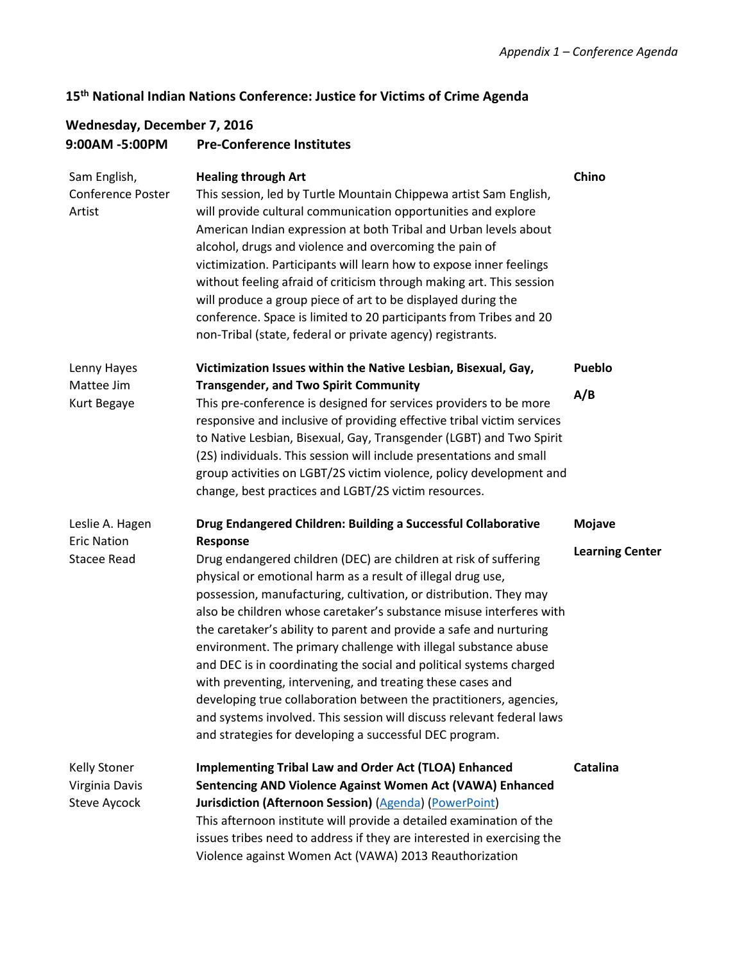# **15th National Indian Nations Conference: Justice for Victims of Crime Agenda**

## **Wednesday, December 7, 2016 9:00AM -5:00PM Pre-Conference Institutes**

| Sam English,<br><b>Conference Poster</b><br>Artist          | <b>Healing through Art</b><br>This session, led by Turtle Mountain Chippewa artist Sam English,<br>will provide cultural communication opportunities and explore<br>American Indian expression at both Tribal and Urban levels about<br>alcohol, drugs and violence and overcoming the pain of<br>victimization. Participants will learn how to expose inner feelings<br>without feeling afraid of criticism through making art. This session<br>will produce a group piece of art to be displayed during the<br>conference. Space is limited to 20 participants from Tribes and 20<br>non-Tribal (state, federal or private agency) registrants.                                                                                                                                                                                                | Chino                                   |
|-------------------------------------------------------------|--------------------------------------------------------------------------------------------------------------------------------------------------------------------------------------------------------------------------------------------------------------------------------------------------------------------------------------------------------------------------------------------------------------------------------------------------------------------------------------------------------------------------------------------------------------------------------------------------------------------------------------------------------------------------------------------------------------------------------------------------------------------------------------------------------------------------------------------------|-----------------------------------------|
| Lenny Hayes<br>Mattee Jim<br>Kurt Begaye                    | Victimization Issues within the Native Lesbian, Bisexual, Gay,<br><b>Transgender, and Two Spirit Community</b><br>This pre-conference is designed for services providers to be more<br>responsive and inclusive of providing effective tribal victim services<br>to Native Lesbian, Bisexual, Gay, Transgender (LGBT) and Two Spirit<br>(2S) individuals. This session will include presentations and small<br>group activities on LGBT/2S victim violence, policy development and<br>change, best practices and LGBT/2S victim resources.                                                                                                                                                                                                                                                                                                       | Pueblo<br>A/B                           |
| Leslie A. Hagen<br><b>Eric Nation</b><br><b>Stacee Read</b> | Drug Endangered Children: Building a Successful Collaborative<br>Response<br>Drug endangered children (DEC) are children at risk of suffering<br>physical or emotional harm as a result of illegal drug use,<br>possession, manufacturing, cultivation, or distribution. They may<br>also be children whose caretaker's substance misuse interferes with<br>the caretaker's ability to parent and provide a safe and nurturing<br>environment. The primary challenge with illegal substance abuse<br>and DEC is in coordinating the social and political systems charged<br>with preventing, intervening, and treating these cases and<br>developing true collaboration between the practitioners, agencies,<br>and systems involved. This session will discuss relevant federal laws<br>and strategies for developing a successful DEC program. | <b>Mojave</b><br><b>Learning Center</b> |
| <b>Kelly Stoner</b><br>Virginia Davis<br>Steve Aycock       | <b>Implementing Tribal Law and Order Act (TLOA) Enhanced</b><br>Sentencing AND Violence Against Women Act (VAWA) Enhanced<br><b>Jurisdiction (Afternoon Session) (Agenda) (PowerPoint)</b><br>This afternoon institute will provide a detailed examination of the<br>issues tribes need to address if they are interested in exercising the<br>Violence against Women Act (VAWA) 2013 Reauthorization                                                                                                                                                                                                                                                                                                                                                                                                                                            | <b>Catalina</b>                         |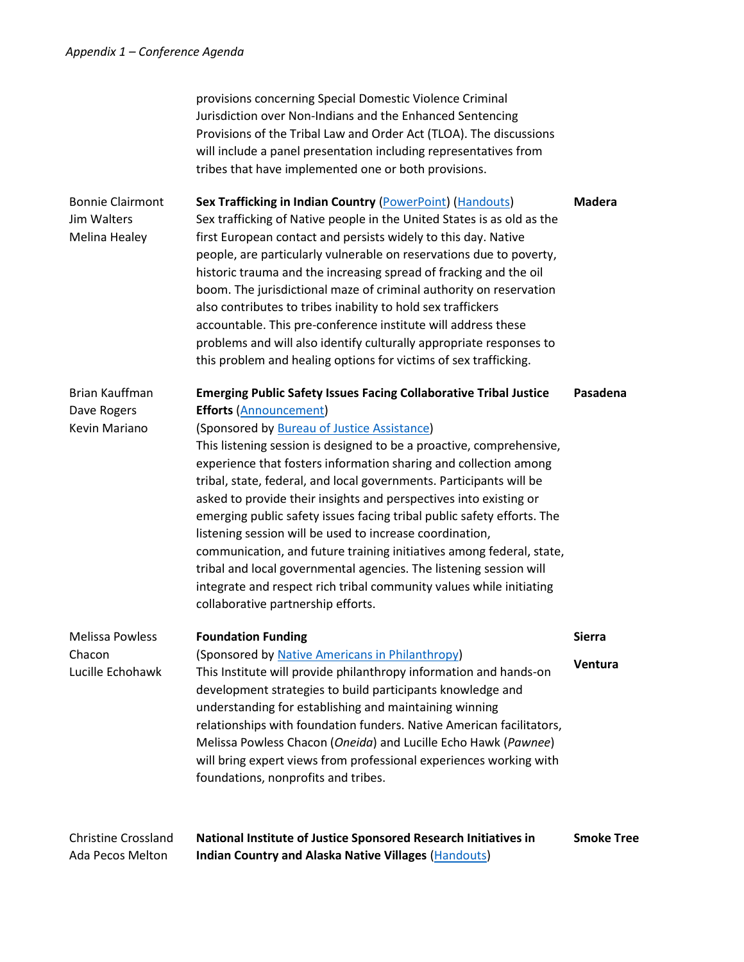| <b>Christine Crossland</b><br>Ada Pecos Melton          | National Institute of Justice Sponsored Research Initiatives in<br><b>Indian Country and Alaska Native Villages (Handouts)</b>                                                                                                                                                                                                                                                                                                                                                                                                                                                                                                                                                                                                                                                                                                                    | <b>Smoke Tree</b>        |
|---------------------------------------------------------|---------------------------------------------------------------------------------------------------------------------------------------------------------------------------------------------------------------------------------------------------------------------------------------------------------------------------------------------------------------------------------------------------------------------------------------------------------------------------------------------------------------------------------------------------------------------------------------------------------------------------------------------------------------------------------------------------------------------------------------------------------------------------------------------------------------------------------------------------|--------------------------|
| <b>Melissa Powless</b><br>Chacon<br>Lucille Echohawk    | <b>Foundation Funding</b><br>(Sponsored by Native Americans in Philanthropy)<br>This Institute will provide philanthropy information and hands-on<br>development strategies to build participants knowledge and<br>understanding for establishing and maintaining winning<br>relationships with foundation funders. Native American facilitators,<br>Melissa Powless Chacon (Oneida) and Lucille Echo Hawk (Pawnee)<br>will bring expert views from professional experiences working with<br>foundations, nonprofits and tribes.                                                                                                                                                                                                                                                                                                                  | <b>Sierra</b><br>Ventura |
| Brian Kauffman<br>Dave Rogers<br>Kevin Mariano          | <b>Emerging Public Safety Issues Facing Collaborative Tribal Justice</b><br><b>Efforts (Announcement)</b><br>(Sponsored by Bureau of Justice Assistance)<br>This listening session is designed to be a proactive, comprehensive,<br>experience that fosters information sharing and collection among<br>tribal, state, federal, and local governments. Participants will be<br>asked to provide their insights and perspectives into existing or<br>emerging public safety issues facing tribal public safety efforts. The<br>listening session will be used to increase coordination,<br>communication, and future training initiatives among federal, state,<br>tribal and local governmental agencies. The listening session will<br>integrate and respect rich tribal community values while initiating<br>collaborative partnership efforts. | Pasadena                 |
| <b>Bonnie Clairmont</b><br>Jim Walters<br>Melina Healey | Sex Trafficking in Indian Country (PowerPoint) (Handouts)<br>Sex trafficking of Native people in the United States is as old as the<br>first European contact and persists widely to this day. Native<br>people, are particularly vulnerable on reservations due to poverty,<br>historic trauma and the increasing spread of fracking and the oil<br>boom. The jurisdictional maze of criminal authority on reservation<br>also contributes to tribes inability to hold sex traffickers<br>accountable. This pre-conference institute will address these<br>problems and will also identify culturally appropriate responses to<br>this problem and healing options for victims of sex trafficking.                                                                                                                                               | <b>Madera</b>            |
|                                                         | provisions concerning Special Domestic Violence Criminal<br>Jurisdiction over Non-Indians and the Enhanced Sentencing<br>Provisions of the Tribal Law and Order Act (TLOA). The discussions<br>will include a panel presentation including representatives from<br>tribes that have implemented one or both provisions.                                                                                                                                                                                                                                                                                                                                                                                                                                                                                                                           |                          |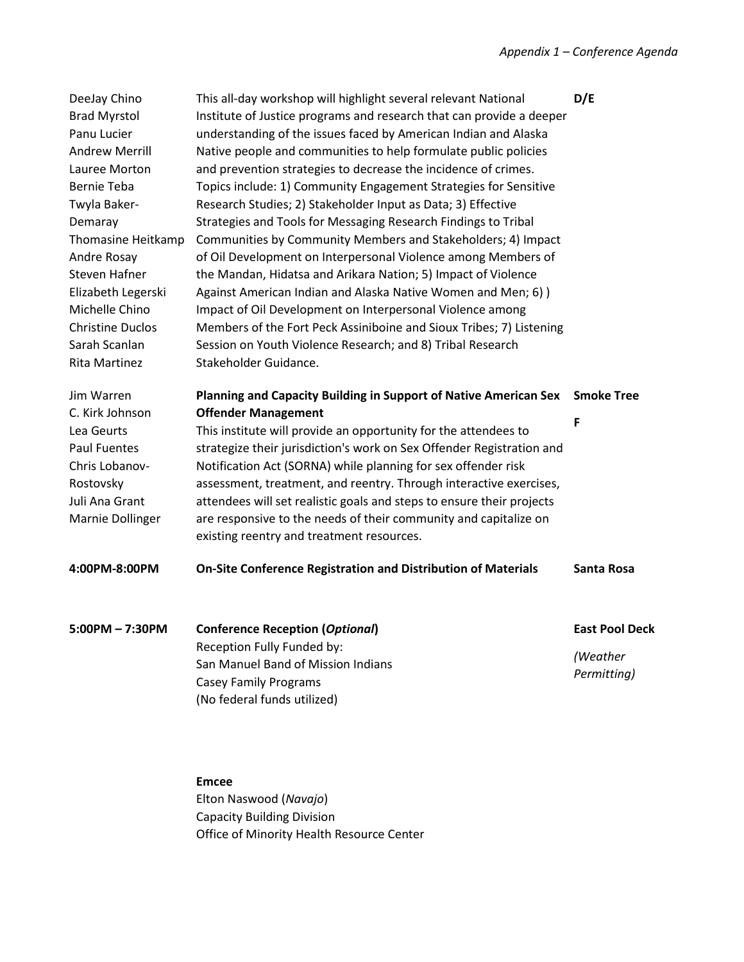| DeeJay Chino<br><b>Brad Myrstol</b><br>Panu Lucier<br><b>Andrew Merrill</b><br>Lauree Morton<br><b>Bernie Teba</b><br>Twyla Baker-<br>Demaray<br>Thomasine Heitkamp<br>Andre Rosay<br>Steven Hafner<br>Elizabeth Legerski<br>Michelle Chino<br><b>Christine Duclos</b><br>Sarah Scanlan<br>Rita Martinez | This all-day workshop will highlight several relevant National<br>Institute of Justice programs and research that can provide a deeper<br>understanding of the issues faced by American Indian and Alaska<br>Native people and communities to help formulate public policies<br>and prevention strategies to decrease the incidence of crimes.<br>Topics include: 1) Community Engagement Strategies for Sensitive<br>Research Studies; 2) Stakeholder Input as Data; 3) Effective<br>Strategies and Tools for Messaging Research Findings to Tribal<br>Communities by Community Members and Stakeholders; 4) Impact<br>of Oil Development on Interpersonal Violence among Members of<br>the Mandan, Hidatsa and Arikara Nation; 5) Impact of Violence<br>Against American Indian and Alaska Native Women and Men; 6) )<br>Impact of Oil Development on Interpersonal Violence among<br>Members of the Fort Peck Assiniboine and Sioux Tribes; 7) Listening<br>Session on Youth Violence Research; and 8) Tribal Research<br>Stakeholder Guidance. | D/E                                              |
|----------------------------------------------------------------------------------------------------------------------------------------------------------------------------------------------------------------------------------------------------------------------------------------------------------|----------------------------------------------------------------------------------------------------------------------------------------------------------------------------------------------------------------------------------------------------------------------------------------------------------------------------------------------------------------------------------------------------------------------------------------------------------------------------------------------------------------------------------------------------------------------------------------------------------------------------------------------------------------------------------------------------------------------------------------------------------------------------------------------------------------------------------------------------------------------------------------------------------------------------------------------------------------------------------------------------------------------------------------------------|--------------------------------------------------|
| Jim Warren<br>C. Kirk Johnson<br>Lea Geurts<br><b>Paul Fuentes</b><br>Chris Lobanov-<br>Rostovsky<br>Juli Ana Grant<br>Marnie Dollinger                                                                                                                                                                  | <b>Planning and Capacity Building in Support of Native American Sex</b><br><b>Offender Management</b><br>This institute will provide an opportunity for the attendees to<br>strategize their jurisdiction's work on Sex Offender Registration and<br>Notification Act (SORNA) while planning for sex offender risk<br>assessment, treatment, and reentry. Through interactive exercises,<br>attendees will set realistic goals and steps to ensure their projects<br>are responsive to the needs of their community and capitalize on<br>existing reentry and treatment resources.                                                                                                                                                                                                                                                                                                                                                                                                                                                                 | <b>Smoke Tree</b><br>F                           |
| 4:00PM-8:00PM                                                                                                                                                                                                                                                                                            | <b>On-Site Conference Registration and Distribution of Materials</b>                                                                                                                                                                                                                                                                                                                                                                                                                                                                                                                                                                                                                                                                                                                                                                                                                                                                                                                                                                               | <b>Santa Rosa</b>                                |
| 5:00PM-7:30PM                                                                                                                                                                                                                                                                                            | <b>Conference Reception (Optional)</b><br>Reception Fully Funded by:<br>San Manuel Band of Mission Indians<br><b>Casey Family Programs</b><br>(No federal funds utilized)                                                                                                                                                                                                                                                                                                                                                                                                                                                                                                                                                                                                                                                                                                                                                                                                                                                                          | <b>East Pool Deck</b><br>(Weather<br>Permitting) |

**Emcee** Elton Naswood (*Navajo*) Capacity Building Division Office of Minority Health Resource Center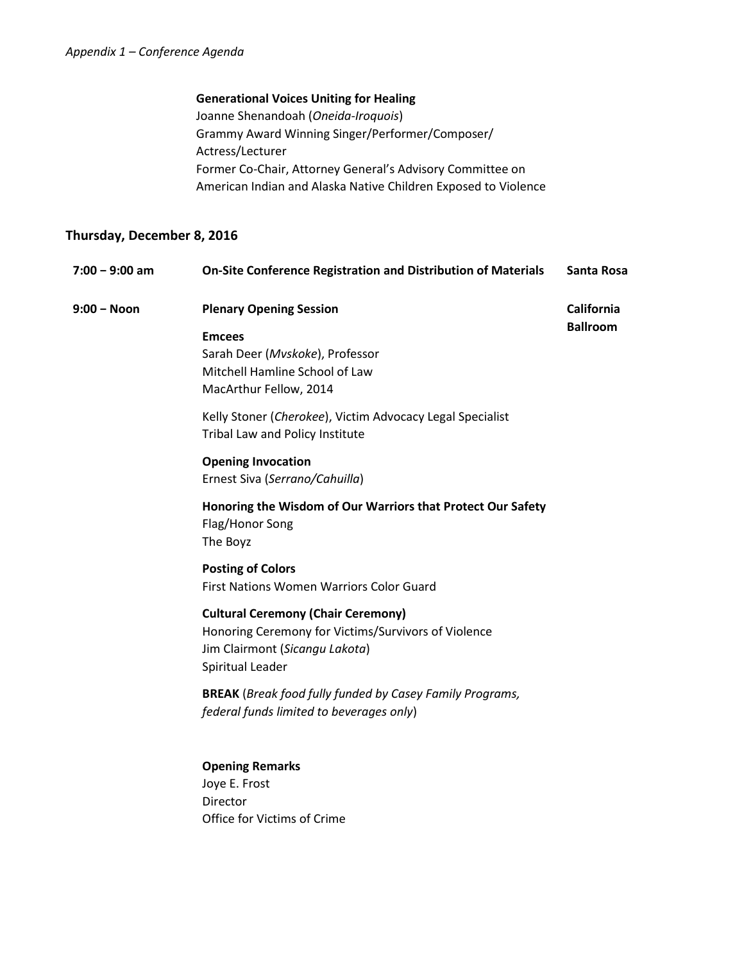### **Generational Voices Uniting for Healing**

Joanne Shenandoah (*Oneida-Iroquois*) Grammy Award Winning Singer/Performer/Composer/ Actress/Lecturer Former Co-Chair, Attorney General's Advisory Committee on American Indian and Alaska Native Children Exposed to Violence

## **Thursday, December 8, 2016**

| $7:00 - 9:00$ am | <b>On-Site Conference Registration and Distribution of Materials</b>                                                                                   | Santa Rosa        |
|------------------|--------------------------------------------------------------------------------------------------------------------------------------------------------|-------------------|
| $9:00 - N$ oon   | <b>Plenary Opening Session</b>                                                                                                                         | <b>California</b> |
|                  | <b>Emcees</b><br>Sarah Deer (Mvskoke), Professor<br>Mitchell Hamline School of Law<br>MacArthur Fellow, 2014                                           | <b>Ballroom</b>   |
|                  | Kelly Stoner (Cherokee), Victim Advocacy Legal Specialist<br>Tribal Law and Policy Institute                                                           |                   |
|                  | <b>Opening Invocation</b><br>Ernest Siva (Serrano/Cahuilla)                                                                                            |                   |
|                  | Honoring the Wisdom of Our Warriors that Protect Our Safety<br>Flag/Honor Song<br>The Boyz                                                             |                   |
|                  | <b>Posting of Colors</b><br>First Nations Women Warriors Color Guard                                                                                   |                   |
|                  | <b>Cultural Ceremony (Chair Ceremony)</b><br>Honoring Ceremony for Victims/Survivors of Violence<br>Jim Clairmont (Sicangu Lakota)<br>Spiritual Leader |                   |
|                  | <b>BREAK</b> (Break food fully funded by Casey Family Programs,<br>federal funds limited to beverages only)                                            |                   |
|                  | <b>Opening Remarks</b><br>Joye E. Frost<br><b>Director</b><br>Office for Victims of Crime                                                              |                   |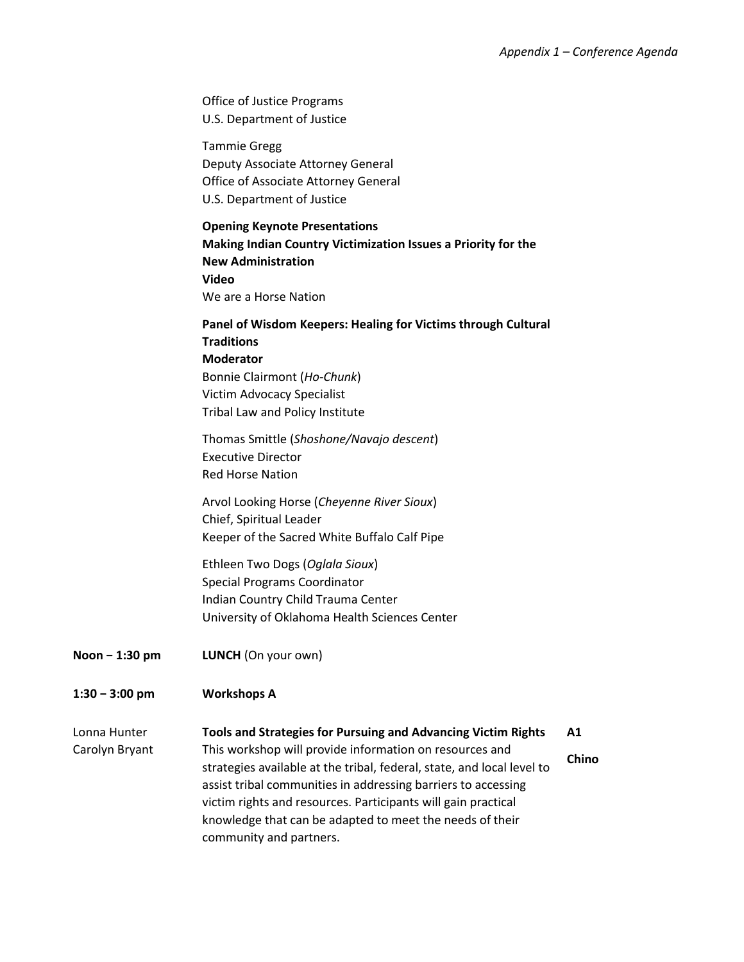|                                | Office of Justice Programs<br>U.S. Department of Justice                                                                                                                                                                                                                                                                                                                                                                          |       |
|--------------------------------|-----------------------------------------------------------------------------------------------------------------------------------------------------------------------------------------------------------------------------------------------------------------------------------------------------------------------------------------------------------------------------------------------------------------------------------|-------|
|                                | <b>Tammie Gregg</b><br>Deputy Associate Attorney General<br>Office of Associate Attorney General<br>U.S. Department of Justice                                                                                                                                                                                                                                                                                                    |       |
|                                | <b>Opening Keynote Presentations</b><br>Making Indian Country Victimization Issues a Priority for the<br><b>New Administration</b><br>Video<br>We are a Horse Nation                                                                                                                                                                                                                                                              |       |
|                                | Panel of Wisdom Keepers: Healing for Victims through Cultural<br><b>Traditions</b><br><b>Moderator</b><br>Bonnie Clairmont (Ho-Chunk)<br>Victim Advocacy Specialist<br>Tribal Law and Policy Institute                                                                                                                                                                                                                            |       |
|                                | Thomas Smittle (Shoshone/Navajo descent)<br><b>Executive Director</b><br><b>Red Horse Nation</b>                                                                                                                                                                                                                                                                                                                                  |       |
|                                | Arvol Looking Horse (Cheyenne River Sioux)<br>Chief, Spiritual Leader<br>Keeper of the Sacred White Buffalo Calf Pipe                                                                                                                                                                                                                                                                                                             |       |
|                                | Ethleen Two Dogs (Oglala Sioux)<br>Special Programs Coordinator<br>Indian Country Child Trauma Center<br>University of Oklahoma Health Sciences Center                                                                                                                                                                                                                                                                            |       |
| Noon - 1:30 pm                 | LUNCH (On your own)                                                                                                                                                                                                                                                                                                                                                                                                               |       |
| $1:30 - 3:00$ pm               | <b>Workshops A</b>                                                                                                                                                                                                                                                                                                                                                                                                                |       |
| Lonna Hunter<br>Carolyn Bryant | Tools and Strategies for Pursuing and Advancing Victim Rights<br>A1<br>This workshop will provide information on resources and<br>strategies available at the tribal, federal, state, and local level to<br>assist tribal communities in addressing barriers to accessing<br>victim rights and resources. Participants will gain practical<br>knowledge that can be adapted to meet the needs of their<br>community and partners. | Chino |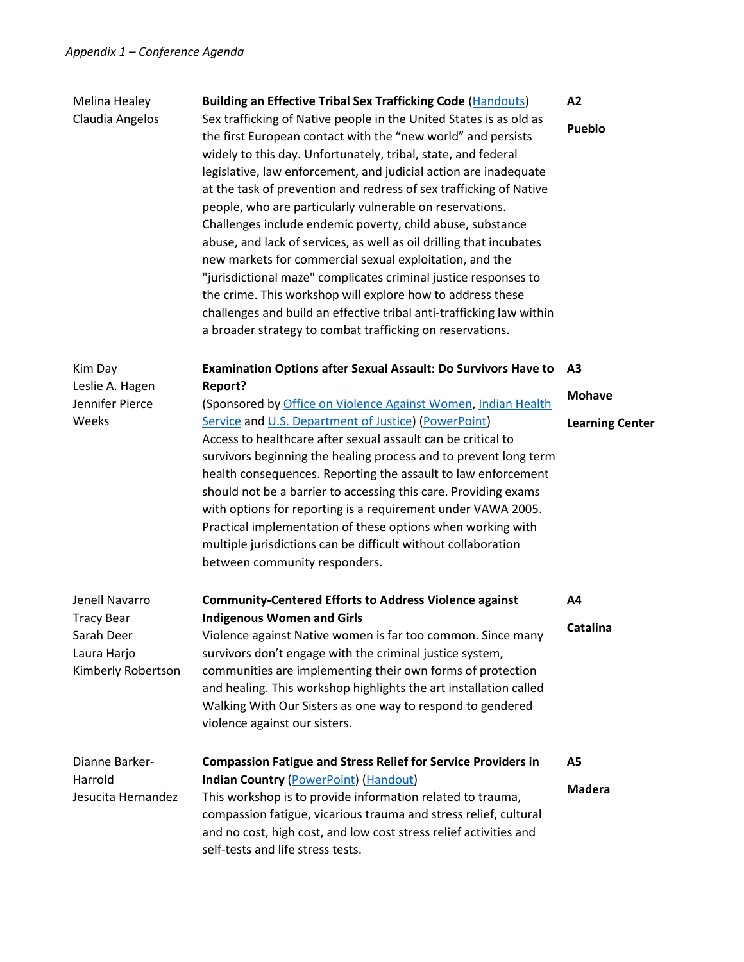| Melina Healey<br>Claudia Angelos                                                       | <b>Building an Effective Tribal Sex Trafficking Code (Handouts)</b><br>Sex trafficking of Native people in the United States is as old as<br>the first European contact with the "new world" and persists<br>widely to this day. Unfortunately, tribal, state, and federal<br>legislative, law enforcement, and judicial action are inadequate<br>at the task of prevention and redress of sex trafficking of Native<br>people, who are particularly vulnerable on reservations.<br>Challenges include endemic poverty, child abuse, substance<br>abuse, and lack of services, as well as oil drilling that incubates<br>new markets for commercial sexual exploitation, and the<br>"jurisdictional maze" complicates criminal justice responses to<br>the crime. This workshop will explore how to address these<br>challenges and build an effective tribal anti-trafficking law within<br>a broader strategy to combat trafficking on reservations. | A2<br>Pueblo                                              |
|----------------------------------------------------------------------------------------|--------------------------------------------------------------------------------------------------------------------------------------------------------------------------------------------------------------------------------------------------------------------------------------------------------------------------------------------------------------------------------------------------------------------------------------------------------------------------------------------------------------------------------------------------------------------------------------------------------------------------------------------------------------------------------------------------------------------------------------------------------------------------------------------------------------------------------------------------------------------------------------------------------------------------------------------------------|-----------------------------------------------------------|
| Kim Day<br>Leslie A. Hagen<br>Jennifer Pierce<br>Weeks                                 | <b>Examination Options after Sexual Assault: Do Survivors Have to</b><br>Report?<br>(Sponsored by Office on Violence Against Women, Indian Health<br>Service and U.S. Department of Justice) (PowerPoint)<br>Access to healthcare after sexual assault can be critical to<br>survivors beginning the healing process and to prevent long term<br>health consequences. Reporting the assault to law enforcement<br>should not be a barrier to accessing this care. Providing exams<br>with options for reporting is a requirement under VAWA 2005.<br>Practical implementation of these options when working with<br>multiple jurisdictions can be difficult without collaboration<br>between community responders.                                                                                                                                                                                                                                     | A <sub>3</sub><br><b>Mohave</b><br><b>Learning Center</b> |
| Jenell Navarro<br><b>Tracy Bear</b><br>Sarah Deer<br>Laura Harjo<br>Kimberly Robertson | <b>Community-Centered Efforts to Address Violence against</b><br><b>Indigenous Women and Girls</b><br>Violence against Native women is far too common. Since many<br>survivors don't engage with the criminal justice system,<br>communities are implementing their own forms of protection<br>and healing. This workshop highlights the art installation called<br>Walking With Our Sisters as one way to respond to gendered<br>violence against our sisters.                                                                                                                                                                                                                                                                                                                                                                                                                                                                                        | A4<br>Catalina                                            |
| Dianne Barker-<br>Harrold<br>Jesucita Hernandez                                        | <b>Compassion Fatigue and Stress Relief for Service Providers in</b><br><b>Indian Country (PowerPoint) (Handout)</b><br>This workshop is to provide information related to trauma,<br>compassion fatigue, vicarious trauma and stress relief, cultural<br>and no cost, high cost, and low cost stress relief activities and<br>self-tests and life stress tests.                                                                                                                                                                                                                                                                                                                                                                                                                                                                                                                                                                                       | A5<br><b>Madera</b>                                       |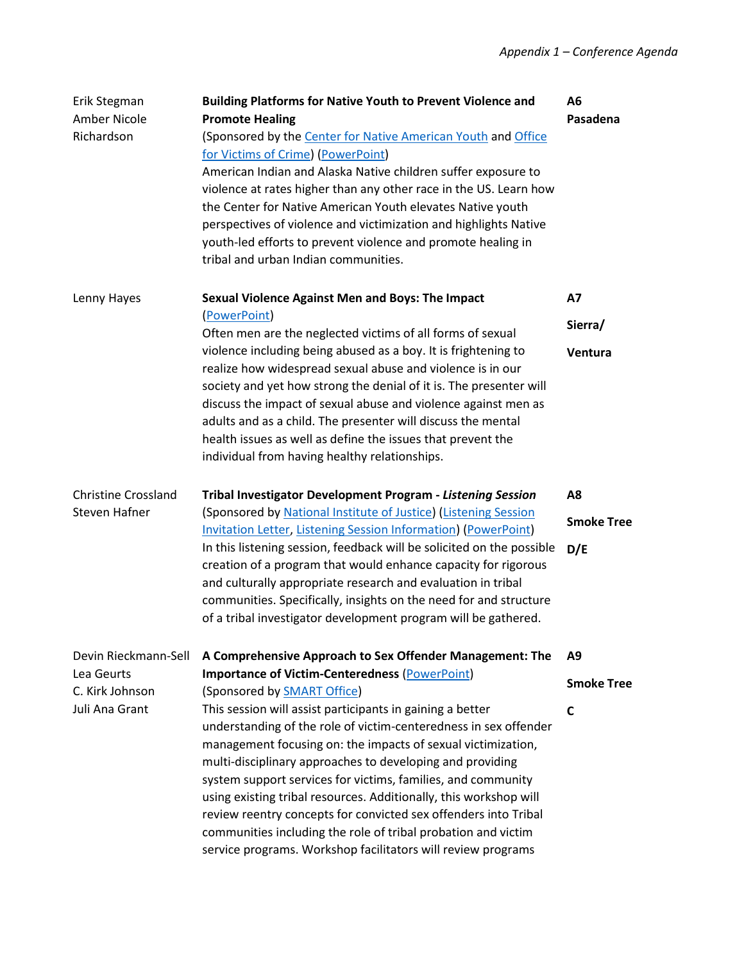| Erik Stegman<br>Amber Nicole<br>Richardson | <b>Building Platforms for Native Youth to Prevent Violence and</b><br><b>Promote Healing</b><br>(Sponsored by the Center for Native American Youth and Office<br>for Victims of Crime) (PowerPoint)<br>American Indian and Alaska Native children suffer exposure to<br>violence at rates higher than any other race in the US. Learn how<br>the Center for Native American Youth elevates Native youth<br>perspectives of violence and victimization and highlights Native<br>youth-led efforts to prevent violence and promote healing in<br>tribal and urban Indian communities.                 | A6<br>Pasadena    |
|--------------------------------------------|-----------------------------------------------------------------------------------------------------------------------------------------------------------------------------------------------------------------------------------------------------------------------------------------------------------------------------------------------------------------------------------------------------------------------------------------------------------------------------------------------------------------------------------------------------------------------------------------------------|-------------------|
| Lenny Hayes                                | <b>Sexual Violence Against Men and Boys: The Impact</b>                                                                                                                                                                                                                                                                                                                                                                                                                                                                                                                                             | <b>A7</b>         |
|                                            | (PowerPoint)<br>Often men are the neglected victims of all forms of sexual                                                                                                                                                                                                                                                                                                                                                                                                                                                                                                                          | Sierra/           |
|                                            | violence including being abused as a boy. It is frightening to<br>realize how widespread sexual abuse and violence is in our<br>society and yet how strong the denial of it is. The presenter will<br>discuss the impact of sexual abuse and violence against men as<br>adults and as a child. The presenter will discuss the mental<br>health issues as well as define the issues that prevent the<br>individual from having healthy relationships.                                                                                                                                                | Ventura           |
| <b>Christine Crossland</b>                 | Tribal Investigator Development Program - Listening Session                                                                                                                                                                                                                                                                                                                                                                                                                                                                                                                                         | A <sub>8</sub>    |
| Steven Hafner                              | (Sponsored by National Institute of Justice) (Listening Session<br><b>Invitation Letter, Listening Session Information) (PowerPoint)</b>                                                                                                                                                                                                                                                                                                                                                                                                                                                            | <b>Smoke Tree</b> |
|                                            | In this listening session, feedback will be solicited on the possible<br>creation of a program that would enhance capacity for rigorous<br>and culturally appropriate research and evaluation in tribal<br>communities. Specifically, insights on the need for and structure<br>of a tribal investigator development program will be gathered.                                                                                                                                                                                                                                                      | D/E               |
| Devin Rieckmann-Sell                       | A Comprehensive Approach to Sex Offender Management: The                                                                                                                                                                                                                                                                                                                                                                                                                                                                                                                                            | A9                |
| Lea Geurts<br>C. Kirk Johnson              | <b>Importance of Victim-Centeredness (PowerPoint)</b><br>(Sponsored by <b>SMART Office</b> )                                                                                                                                                                                                                                                                                                                                                                                                                                                                                                        | <b>Smoke Tree</b> |
| Juli Ana Grant                             | This session will assist participants in gaining a better<br>understanding of the role of victim-centeredness in sex offender<br>management focusing on: the impacts of sexual victimization,<br>multi-disciplinary approaches to developing and providing<br>system support services for victims, families, and community<br>using existing tribal resources. Additionally, this workshop will<br>review reentry concepts for convicted sex offenders into Tribal<br>communities including the role of tribal probation and victim<br>service programs. Workshop facilitators will review programs | C                 |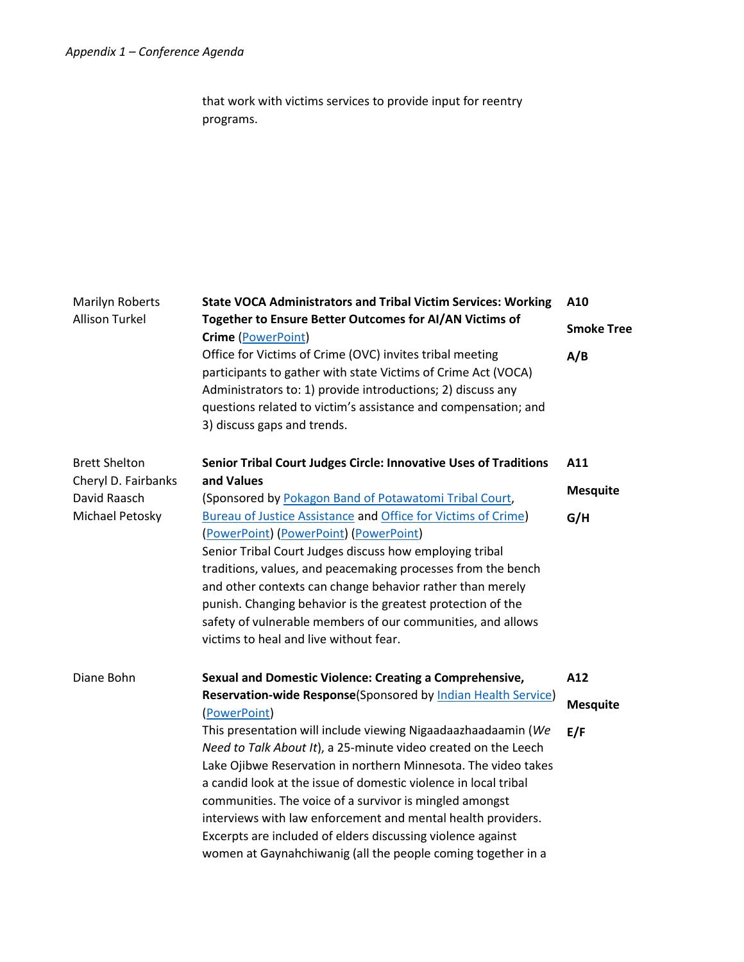that work with victims services to provide input for reentry programs.

| <b>Marilyn Roberts</b>              | <b>State VOCA Administrators and Tribal Victim Services: Working</b>                                                                                                                                                                                                                                                                                                                                                                                                                                                           | A10               |
|-------------------------------------|--------------------------------------------------------------------------------------------------------------------------------------------------------------------------------------------------------------------------------------------------------------------------------------------------------------------------------------------------------------------------------------------------------------------------------------------------------------------------------------------------------------------------------|-------------------|
| <b>Allison Turkel</b>               | Together to Ensure Better Outcomes for AI/AN Victims of<br>Crime (PowerPoint)                                                                                                                                                                                                                                                                                                                                                                                                                                                  | <b>Smoke Tree</b> |
|                                     | Office for Victims of Crime (OVC) invites tribal meeting<br>participants to gather with state Victims of Crime Act (VOCA)<br>Administrators to: 1) provide introductions; 2) discuss any<br>questions related to victim's assistance and compensation; and<br>3) discuss gaps and trends.                                                                                                                                                                                                                                      | A/B               |
| <b>Brett Shelton</b>                | Senior Tribal Court Judges Circle: Innovative Uses of Traditions                                                                                                                                                                                                                                                                                                                                                                                                                                                               | A11               |
| Cheryl D. Fairbanks<br>David Raasch | and Values<br>(Sponsored by Pokagon Band of Potawatomi Tribal Court,                                                                                                                                                                                                                                                                                                                                                                                                                                                           | <b>Mesquite</b>   |
| Michael Petosky                     | <b>Bureau of Justice Assistance and Office for Victims of Crime)</b><br>(PowerPoint) (PowerPoint) (PowerPoint)<br>Senior Tribal Court Judges discuss how employing tribal<br>traditions, values, and peacemaking processes from the bench<br>and other contexts can change behavior rather than merely<br>punish. Changing behavior is the greatest protection of the<br>safety of vulnerable members of our communities, and allows<br>victims to heal and live without fear.                                                 | G/H               |
| Diane Bohn                          | Sexual and Domestic Violence: Creating a Comprehensive,                                                                                                                                                                                                                                                                                                                                                                                                                                                                        | A12               |
|                                     | Reservation-wide Response(Sponsored by Indian Health Service)<br>(PowerPoint)                                                                                                                                                                                                                                                                                                                                                                                                                                                  | <b>Mesquite</b>   |
|                                     | This presentation will include viewing Nigaadaazhaadaamin (We<br>Need to Talk About It), a 25-minute video created on the Leech<br>Lake Ojibwe Reservation in northern Minnesota. The video takes<br>a candid look at the issue of domestic violence in local tribal<br>communities. The voice of a survivor is mingled amongst<br>interviews with law enforcement and mental health providers.<br>Excerpts are included of elders discussing violence against<br>women at Gaynahchiwanig (all the people coming together in a | E/F               |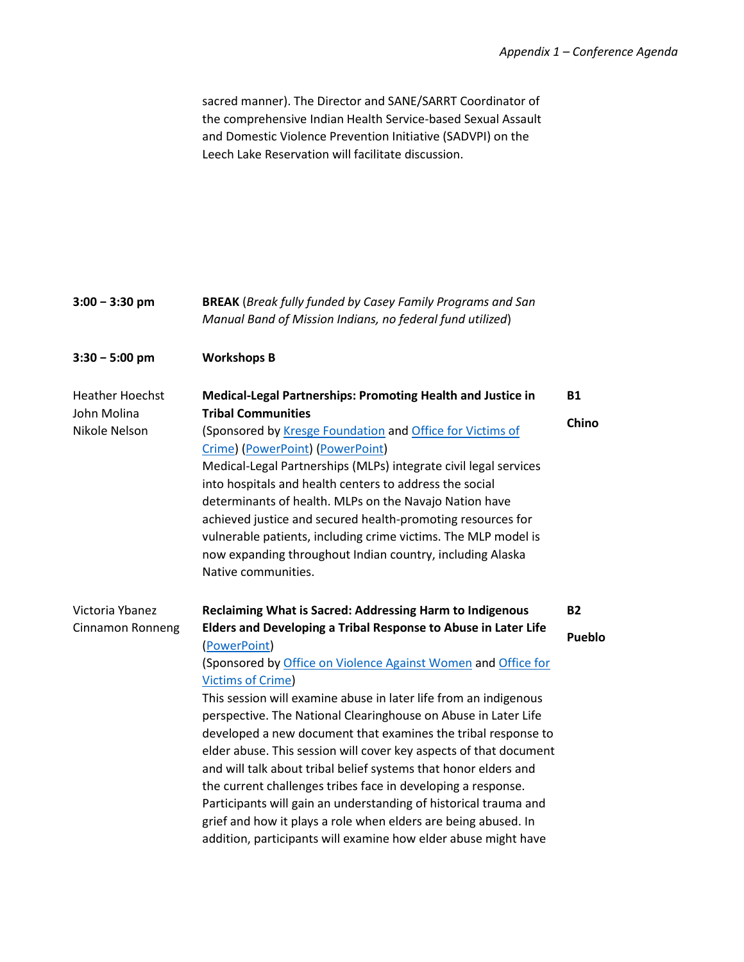sacred manner). The Director and SANE/SARRT Coordinator of the comprehensive Indian Health Service-based Sexual Assault and Domestic Violence Prevention Initiative (SADVPI) on the Leech Lake Reservation will facilitate discussion.

| $3:00 - 3:30$ pm                                       | <b>BREAK</b> (Break fully funded by Casey Family Programs and San<br>Manual Band of Mission Indians, no federal fund utilized)                                                                                                                                                                                                                                                                                                                                                                                                                  |                    |
|--------------------------------------------------------|-------------------------------------------------------------------------------------------------------------------------------------------------------------------------------------------------------------------------------------------------------------------------------------------------------------------------------------------------------------------------------------------------------------------------------------------------------------------------------------------------------------------------------------------------|--------------------|
| $3:30 - 5:00$ pm                                       | <b>Workshops B</b>                                                                                                                                                                                                                                                                                                                                                                                                                                                                                                                              |                    |
| <b>Heather Hoechst</b><br>John Molina<br>Nikole Nelson | <b>Medical-Legal Partnerships: Promoting Health and Justice in</b><br><b>Tribal Communities</b><br>(Sponsored by Kresge Foundation and Office for Victims of                                                                                                                                                                                                                                                                                                                                                                                    | <b>B1</b><br>Chino |
|                                                        | Crime) (PowerPoint) (PowerPoint)<br>Medical-Legal Partnerships (MLPs) integrate civil legal services<br>into hospitals and health centers to address the social<br>determinants of health. MLPs on the Navajo Nation have<br>achieved justice and secured health-promoting resources for<br>vulnerable patients, including crime victims. The MLP model is<br>now expanding throughout Indian country, including Alaska<br>Native communities.                                                                                                  |                    |
| Victoria Ybanez                                        | Reclaiming What is Sacred: Addressing Harm to Indigenous                                                                                                                                                                                                                                                                                                                                                                                                                                                                                        | <b>B2</b>          |
| Cinnamon Ronneng                                       | Elders and Developing a Tribal Response to Abuse in Later Life<br>(PowerPoint)<br>(Sponsored by Office on Violence Against Women and Office for<br><b>Victims of Crime)</b><br>This session will examine abuse in later life from an indigenous                                                                                                                                                                                                                                                                                                 | <b>Pueblo</b>      |
|                                                        | perspective. The National Clearinghouse on Abuse in Later Life<br>developed a new document that examines the tribal response to<br>elder abuse. This session will cover key aspects of that document<br>and will talk about tribal belief systems that honor elders and<br>the current challenges tribes face in developing a response.<br>Participants will gain an understanding of historical trauma and<br>grief and how it plays a role when elders are being abused. In<br>addition, participants will examine how elder abuse might have |                    |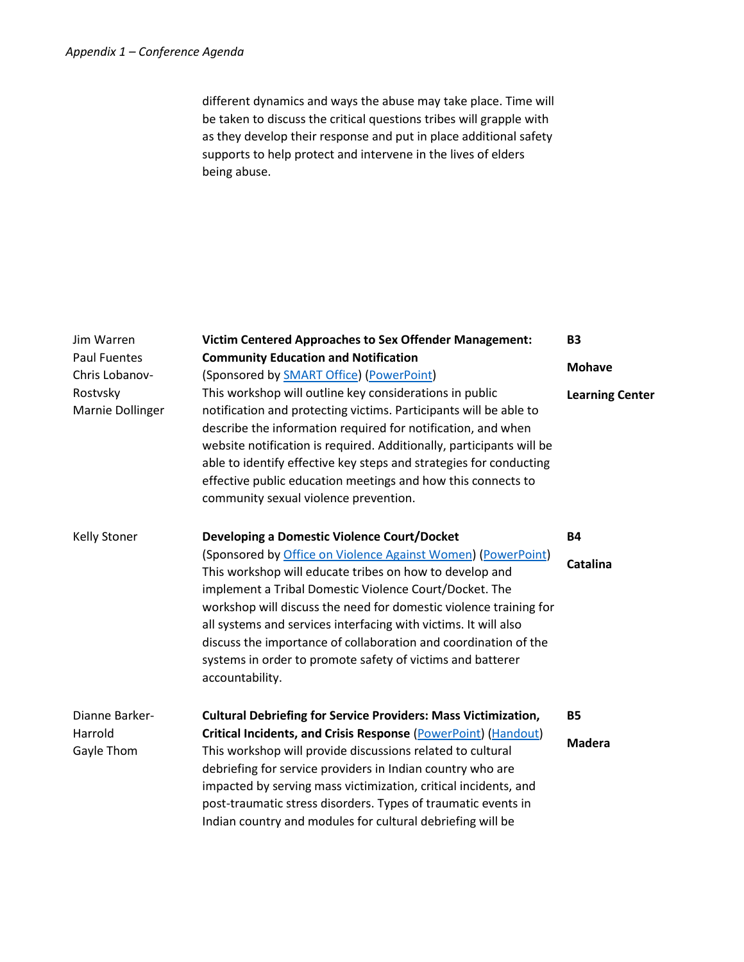different dynamics and ways the abuse may take place. Time will be taken to discuss the critical questions tribes will grapple with as they develop their response and put in place additional safety supports to help protect and intervene in the lives of elders being abuse.

| Jim Warren                            | <b>Victim Centered Approaches to Sex Offender Management:</b>                                                                                                                                                                                                                                                                                                                                                                                                                 | <b>B3</b>              |
|---------------------------------------|-------------------------------------------------------------------------------------------------------------------------------------------------------------------------------------------------------------------------------------------------------------------------------------------------------------------------------------------------------------------------------------------------------------------------------------------------------------------------------|------------------------|
| <b>Paul Fuentes</b><br>Chris Lobanov- | <b>Community Education and Notification</b><br>(Sponsored by <b>SMART Office</b> ) (PowerPoint)                                                                                                                                                                                                                                                                                                                                                                               | <b>Mohave</b>          |
| Rostvsky<br>Marnie Dollinger          | This workshop will outline key considerations in public<br>notification and protecting victims. Participants will be able to<br>describe the information required for notification, and when<br>website notification is required. Additionally, participants will be<br>able to identify effective key steps and strategies for conducting<br>effective public education meetings and how this connects to<br>community sexual violence prevention.                           | <b>Learning Center</b> |
| <b>Kelly Stoner</b>                   | <b>Developing a Domestic Violence Court/Docket</b>                                                                                                                                                                                                                                                                                                                                                                                                                            | <b>B4</b>              |
|                                       | (Sponsored by Office on Violence Against Women) (PowerPoint)<br>This workshop will educate tribes on how to develop and<br>implement a Tribal Domestic Violence Court/Docket. The<br>workshop will discuss the need for domestic violence training for<br>all systems and services interfacing with victims. It will also<br>discuss the importance of collaboration and coordination of the<br>systems in order to promote safety of victims and batterer<br>accountability. | <b>Catalina</b>        |
| Dianne Barker-                        | <b>Cultural Debriefing for Service Providers: Mass Victimization,</b>                                                                                                                                                                                                                                                                                                                                                                                                         | <b>B5</b>              |
| Harrold<br>Gayle Thom                 | <b>Critical Incidents, and Crisis Response (PowerPoint) (Handout)</b><br>This workshop will provide discussions related to cultural<br>debriefing for service providers in Indian country who are<br>impacted by serving mass victimization, critical incidents, and<br>post-traumatic stress disorders. Types of traumatic events in<br>Indian country and modules for cultural debriefing will be                                                                           | <b>Madera</b>          |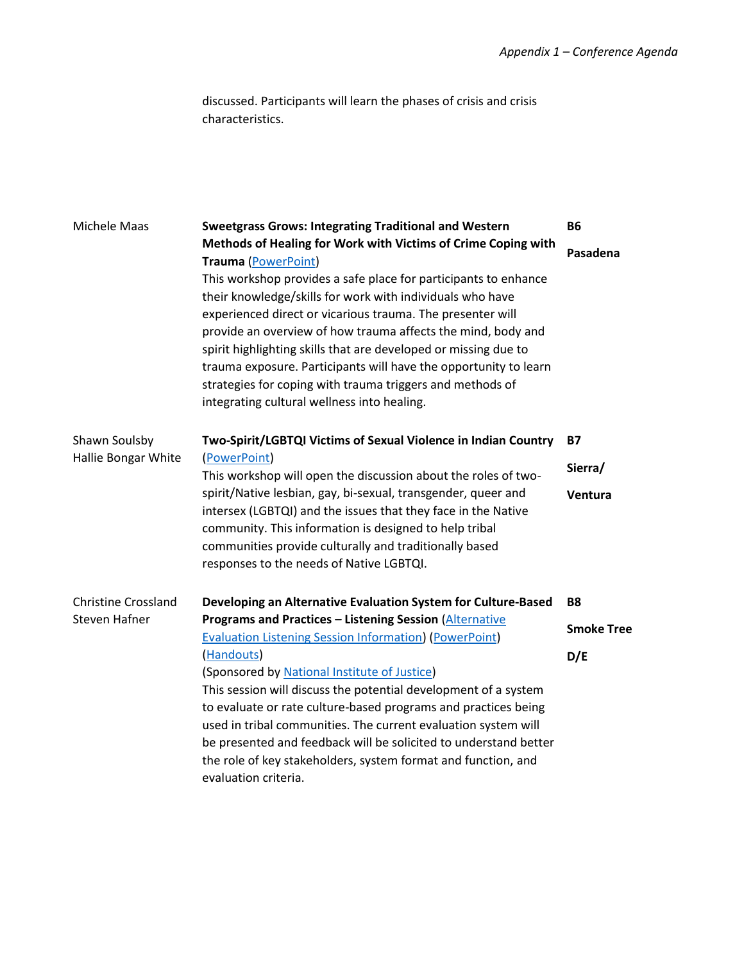discussed. Participants will learn the phases of crisis and crisis characteristics.

| Michele Maas               | <b>Sweetgrass Grows: Integrating Traditional and Western</b>                                                                                                                                                                                                                                                                                                                                                                                                                                                                                                                                                 | <b>B6</b>         |
|----------------------------|--------------------------------------------------------------------------------------------------------------------------------------------------------------------------------------------------------------------------------------------------------------------------------------------------------------------------------------------------------------------------------------------------------------------------------------------------------------------------------------------------------------------------------------------------------------------------------------------------------------|-------------------|
|                            | Methods of Healing for Work with Victims of Crime Coping with<br><b>Trauma (PowerPoint)</b><br>This workshop provides a safe place for participants to enhance<br>their knowledge/skills for work with individuals who have<br>experienced direct or vicarious trauma. The presenter will<br>provide an overview of how trauma affects the mind, body and<br>spirit highlighting skills that are developed or missing due to<br>trauma exposure. Participants will have the opportunity to learn<br>strategies for coping with trauma triggers and methods of<br>integrating cultural wellness into healing. | Pasadena          |
| Shawn Soulsby              | Two-Spirit/LGBTQI Victims of Sexual Violence in Indian Country                                                                                                                                                                                                                                                                                                                                                                                                                                                                                                                                               | <b>B7</b>         |
| Hallie Bongar White        | (PowerPoint)<br>This workshop will open the discussion about the roles of two-                                                                                                                                                                                                                                                                                                                                                                                                                                                                                                                               | Sierra/           |
|                            | spirit/Native lesbian, gay, bi-sexual, transgender, queer and<br>intersex (LGBTQI) and the issues that they face in the Native<br>community. This information is designed to help tribal<br>communities provide culturally and traditionally based<br>responses to the needs of Native LGBTQI.                                                                                                                                                                                                                                                                                                               | Ventura           |
| <b>Christine Crossland</b> | Developing an Alternative Evaluation System for Culture-Based                                                                                                                                                                                                                                                                                                                                                                                                                                                                                                                                                | <b>B8</b>         |
| Steven Hafner              | <b>Programs and Practices - Listening Session (Alternative</b><br><b>Evaluation Listening Session Information) (PowerPoint)</b>                                                                                                                                                                                                                                                                                                                                                                                                                                                                              | <b>Smoke Tree</b> |
|                            | (Handouts)<br>(Sponsored by National Institute of Justice)<br>This session will discuss the potential development of a system<br>to evaluate or rate culture-based programs and practices being<br>used in tribal communities. The current evaluation system will<br>be presented and feedback will be solicited to understand better<br>the role of key stakeholders, system format and function, and<br>evaluation criteria.                                                                                                                                                                               | D/E               |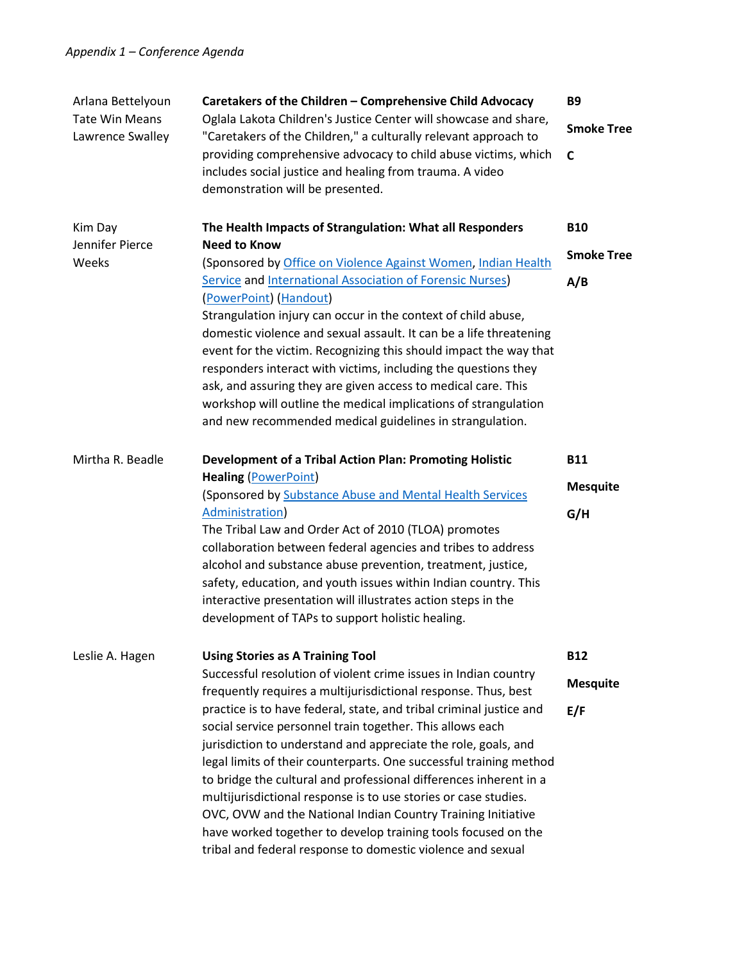| Arlana Bettelyoun<br><b>Tate Win Means</b><br>Lawrence Swalley | Caretakers of the Children - Comprehensive Child Advocacy<br>Oglala Lakota Children's Justice Center will showcase and share,<br>"Caretakers of the Children," a culturally relevant approach to<br>providing comprehensive advocacy to child abuse victims, which<br>includes social justice and healing from trauma. A video<br>demonstration will be presented.                                                                                                                                                                                                                                                                                                                                                                                                                               | <b>B9</b><br><b>Smoke Tree</b><br>C    |
|----------------------------------------------------------------|--------------------------------------------------------------------------------------------------------------------------------------------------------------------------------------------------------------------------------------------------------------------------------------------------------------------------------------------------------------------------------------------------------------------------------------------------------------------------------------------------------------------------------------------------------------------------------------------------------------------------------------------------------------------------------------------------------------------------------------------------------------------------------------------------|----------------------------------------|
| Kim Day<br>Jennifer Pierce<br>Weeks                            | The Health Impacts of Strangulation: What all Responders<br><b>Need to Know</b><br>(Sponsored by Office on Violence Against Women, Indian Health<br><b>Service and International Association of Forensic Nurses)</b><br>(PowerPoint) (Handout)<br>Strangulation injury can occur in the context of child abuse,<br>domestic violence and sexual assault. It can be a life threatening<br>event for the victim. Recognizing this should impact the way that<br>responders interact with victims, including the questions they<br>ask, and assuring they are given access to medical care. This<br>workshop will outline the medical implications of strangulation<br>and new recommended medical guidelines in strangulation.                                                                     | <b>B10</b><br><b>Smoke Tree</b><br>A/B |
| Mirtha R. Beadle                                               | <b>Development of a Tribal Action Plan: Promoting Holistic</b><br><b>Healing (PowerPoint)</b><br>(Sponsored by Substance Abuse and Mental Health Services<br>Administration)<br>The Tribal Law and Order Act of 2010 (TLOA) promotes<br>collaboration between federal agencies and tribes to address<br>alcohol and substance abuse prevention, treatment, justice,<br>safety, education, and youth issues within Indian country. This<br>interactive presentation will illustrates action steps in the<br>development of TAPs to support holistic healing.                                                                                                                                                                                                                                      | <b>B11</b><br><b>Mesquite</b><br>G/H   |
| Leslie A. Hagen                                                | <b>Using Stories as A Training Tool</b><br>Successful resolution of violent crime issues in Indian country<br>frequently requires a multijurisdictional response. Thus, best<br>practice is to have federal, state, and tribal criminal justice and<br>social service personnel train together. This allows each<br>jurisdiction to understand and appreciate the role, goals, and<br>legal limits of their counterparts. One successful training method<br>to bridge the cultural and professional differences inherent in a<br>multijurisdictional response is to use stories or case studies.<br>OVC, OVW and the National Indian Country Training Initiative<br>have worked together to develop training tools focused on the<br>tribal and federal response to domestic violence and sexual | <b>B12</b><br><b>Mesquite</b><br>E/F   |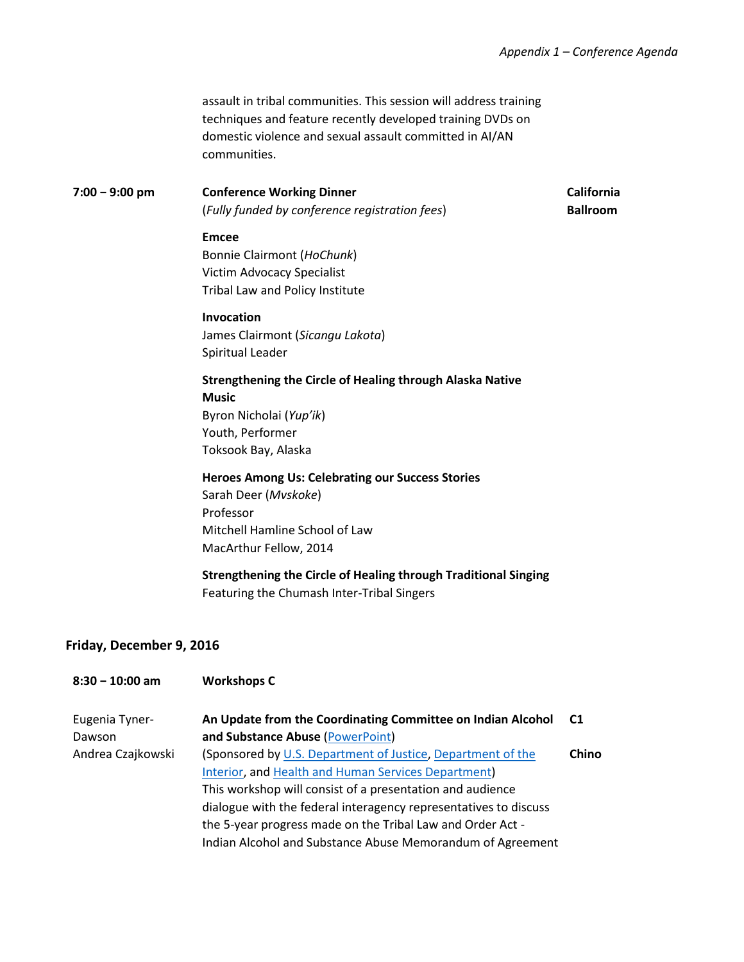assault in tribal communities. This session will address training techniques and feature recently developed training DVDs on domestic violence and sexual assault committed in AI/AN communities.

**7:00 − 9:00 pm Conference Working Dinner** (*Fully funded by conference registration fees*) **California Ballroom**

### **Emcee**

Bonnie Clairmont (*HoChunk*) Victim Advocacy Specialist Tribal Law and Policy Institute

### **Invocation**

James Clairmont (*Sicangu Lakota*) Spiritual Leader

## **Strengthening the Circle of Healing through Alaska Native Music** Byron Nicholai (*Yup'ik*) Youth, Performer

Toksook Bay, Alaska

### **Heroes Among Us: Celebrating our Success Stories**

Sarah Deer (*Mvskoke*) Professor Mitchell Hamline School of Law MacArthur Fellow, 2014

### **Strengthening the Circle of Healing through Traditional Singing**

Featuring the Chumash Inter-Tribal Singers

### **Friday, December 9, 2016**

### **8:30 − 10:00 am Workshops C**

| Eugenia Tyner-    | An Update from the Coordinating Committee on Indian Alcohol      | C1    |
|-------------------|------------------------------------------------------------------|-------|
| Dawson            | and Substance Abuse (PowerPoint)                                 |       |
| Andrea Czajkowski | (Sponsored by U.S. Department of Justice, Department of the      | Chino |
|                   | Interior, and Health and Human Services Department)              |       |
|                   | This workshop will consist of a presentation and audience        |       |
|                   | dialogue with the federal interagency representatives to discuss |       |
|                   | the 5-year progress made on the Tribal Law and Order Act -       |       |
|                   | Indian Alcohol and Substance Abuse Memorandum of Agreement       |       |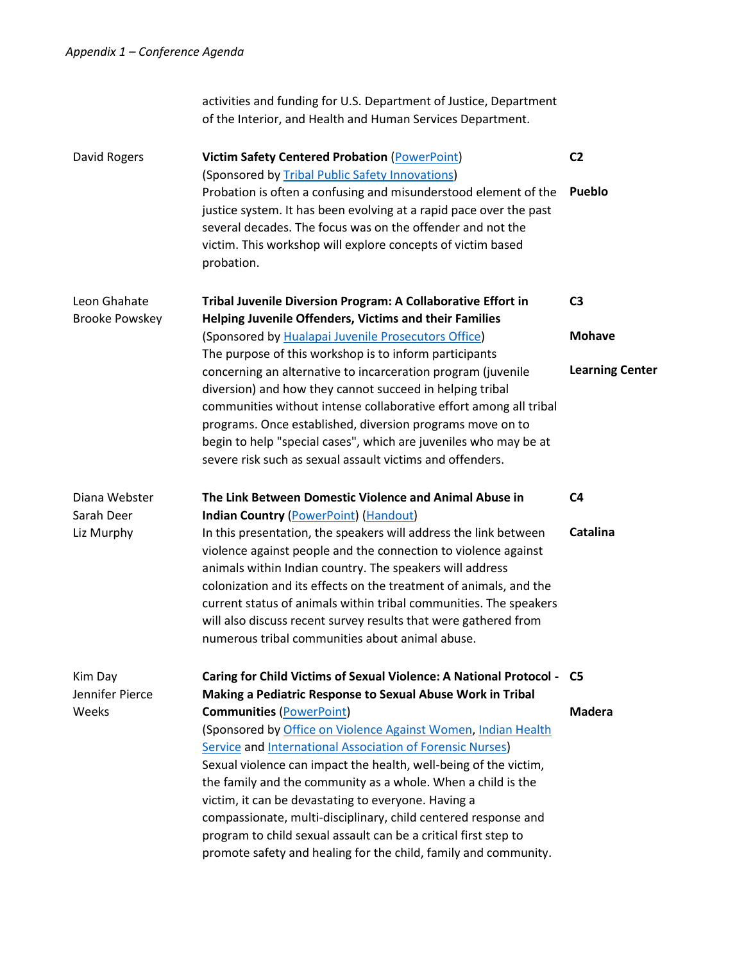Kim Day

**Weeks** 

activities and funding for U.S. Department of Justice, Department of the Interior, and Health and Human Services Department. David Rogers **Victim Safety Centered Probation** [\(PowerPoint\)](http://www.tribal-institute.org/2016/C2pp.pdf) (Sponsored by [Tribal Public Safety Innovations\)](http://www.tribalpsi.com/) Probation is often a confusing and misunderstood element of the justice system. It has been evolving at a rapid pace over the past several decades. The focus was on the offender and not the victim. This workshop will explore concepts of victim based probation. **C2 Pueblo** Leon Ghahate Brooke Powskey **Tribal Juvenile Diversion Program: A Collaborative Effort in Helping Juvenile Offenders, Victims and their Families** (Sponsored by [Hualapai Juvenile Prosecutors Office\)](http://hualapai-nsn.gov/government/tribal-court/prosecutor/) The purpose of this workshop is to inform participants concerning an alternative to incarceration program (juvenile diversion) and how they cannot succeed in helping tribal communities without intense collaborative effort among all tribal programs. Once established, diversion programs move on to begin to help "special cases", which are juveniles who may be at severe risk such as sexual assault victims and offenders. **C3 Mohave Learning Center** Diana Webster Sarah Deer Liz Murphy **The Link Between Domestic Violence and Animal Abuse in Indian Country** [\(PowerPoint\)](http://www.tribal-institute.org/2016/C4PP.pdf) [\(Handout\)](http://www.tribal-institute.org/2016/C4HO.pdf) In this presentation, the speakers will address the link between violence against people and the connection to violence against animals within Indian country. The speakers will address colonization and its effects on the treatment of animals, and the **C4 Catalina**

will also discuss recent survey results that were gathered from numerous tribal communities about animal abuse. Jennifer Pierce **Caring for Child Victims of Sexual Violence: A National Protocol - C5 Making a Pediatric Response to Sexual Abuse Work in Tribal Communities** [\(PowerPoint\)](http://www.tribal-institute.org/2016/C5PP.pdf) (Sponsored by [Office on Violence Against Women,](http://www.ovw.gov/) [Indian Health](http://www.ihs.gov/)  [Service](http://www.ihs.gov/) and [International Association of Forensic Nurses\)](http://www.forensicnurses.org/) Sexual violence can impact the health, well-being of the victim, the family and the community as a whole. When a child is the victim, it can be devastating to everyone. Having a compassionate, multi-disciplinary, child centered response and program to child sexual assault can be a critical first step to promote safety and healing for the child, family and community. **Madera**

current status of animals within tribal communities. The speakers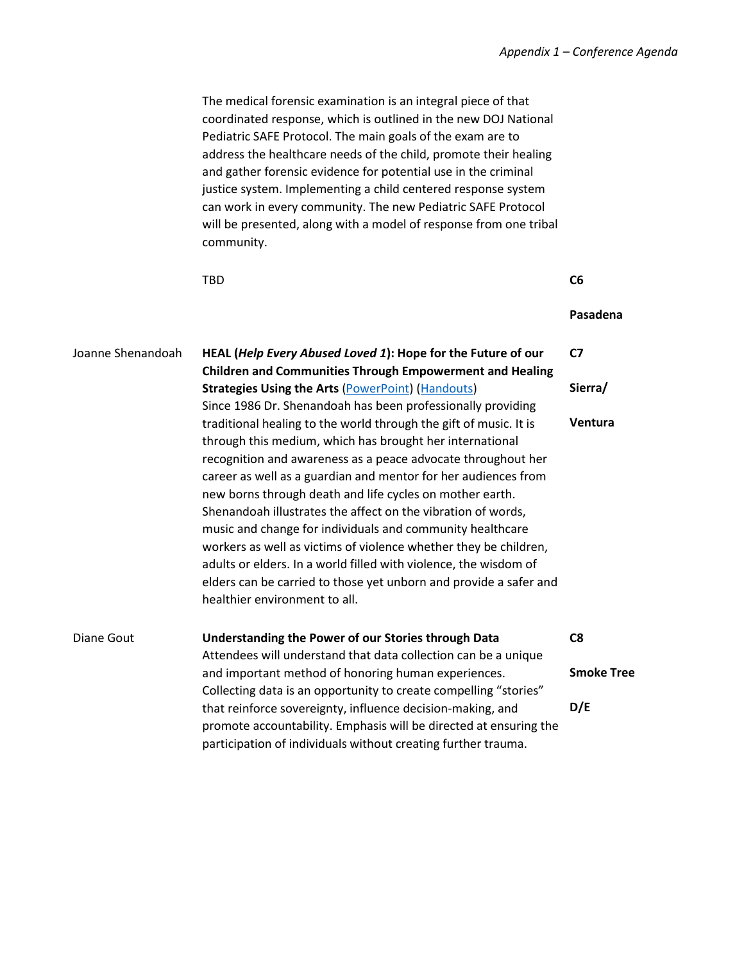The medical forensic examination is an integral piece of that coordinated response, which is outlined in the new DOJ National Pediatric SAFE Protocol. The main goals of the exam are to address the healthcare needs of the child, promote their healing and gather forensic evidence for potential use in the criminal justice system. Implementing a child centered response system can work in every community. The new Pediatric SAFE Protocol will be presented, along with a model of response from one tribal community.

|                   | <b>TBD</b>                                                                                                                                                                                                                                                                                                                                                                                                                                                                                                                                                                                                                                                                                             | C <sub>6</sub>    |
|-------------------|--------------------------------------------------------------------------------------------------------------------------------------------------------------------------------------------------------------------------------------------------------------------------------------------------------------------------------------------------------------------------------------------------------------------------------------------------------------------------------------------------------------------------------------------------------------------------------------------------------------------------------------------------------------------------------------------------------|-------------------|
|                   |                                                                                                                                                                                                                                                                                                                                                                                                                                                                                                                                                                                                                                                                                                        | Pasadena          |
| Joanne Shenandoah | HEAL (Help Every Abused Loved 1): Hope for the Future of our                                                                                                                                                                                                                                                                                                                                                                                                                                                                                                                                                                                                                                           | C7                |
|                   | <b>Children and Communities Through Empowerment and Healing</b><br><b>Strategies Using the Arts (PowerPoint) (Handouts)</b>                                                                                                                                                                                                                                                                                                                                                                                                                                                                                                                                                                            | Sierra/           |
|                   | Since 1986 Dr. Shenandoah has been professionally providing                                                                                                                                                                                                                                                                                                                                                                                                                                                                                                                                                                                                                                            |                   |
|                   | traditional healing to the world through the gift of music. It is<br>through this medium, which has brought her international<br>recognition and awareness as a peace advocate throughout her<br>career as well as a guardian and mentor for her audiences from<br>new borns through death and life cycles on mother earth.<br>Shenandoah illustrates the affect on the vibration of words,<br>music and change for individuals and community healthcare<br>workers as well as victims of violence whether they be children,<br>adults or elders. In a world filled with violence, the wisdom of<br>elders can be carried to those yet unborn and provide a safer and<br>healthier environment to all. | Ventura           |
| Diane Gout        | Understanding the Power of our Stories through Data                                                                                                                                                                                                                                                                                                                                                                                                                                                                                                                                                                                                                                                    | C <sub>8</sub>    |
|                   | Attendees will understand that data collection can be a unique                                                                                                                                                                                                                                                                                                                                                                                                                                                                                                                                                                                                                                         |                   |
|                   | and important method of honoring human experiences.                                                                                                                                                                                                                                                                                                                                                                                                                                                                                                                                                                                                                                                    | <b>Smoke Tree</b> |
|                   | Collecting data is an opportunity to create compelling "stories"<br>that reinforce sovereignty, influence decision-making, and<br>promote accountability. Emphasis will be directed at ensuring the<br>participation of individuals without creating further trauma.                                                                                                                                                                                                                                                                                                                                                                                                                                   | D/E               |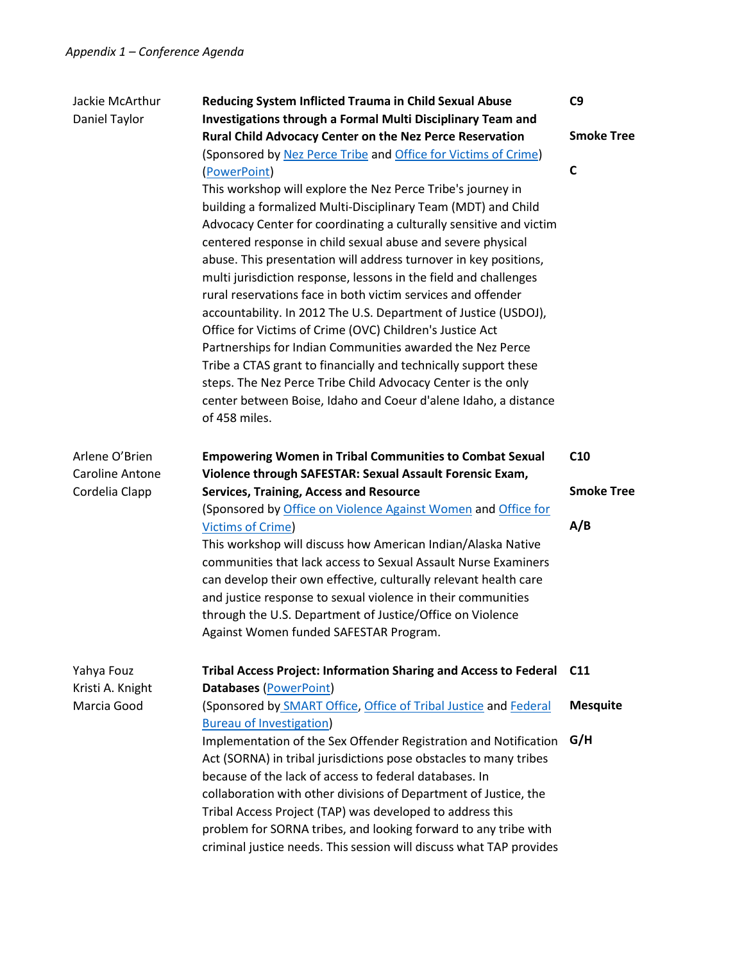| Jackie McArthur<br>Daniel Taylor                           | Reducing System Inflicted Trauma in Child Sexual Abuse<br>Investigations through a Formal Multi Disciplinary Team and<br>Rural Child Advocacy Center on the Nez Perce Reservation<br>(Sponsored by Nez Perce Tribe and Office for Victims of Crime)<br>(PowerPoint)<br>This workshop will explore the Nez Perce Tribe's journey in<br>building a formalized Multi-Disciplinary Team (MDT) and Child<br>Advocacy Center for coordinating a culturally sensitive and victim<br>centered response in child sexual abuse and severe physical<br>abuse. This presentation will address turnover in key positions,<br>multi jurisdiction response, lessons in the field and challenges<br>rural reservations face in both victim services and offender<br>accountability. In 2012 The U.S. Department of Justice (USDOJ),<br>Office for Victims of Crime (OVC) Children's Justice Act<br>Partnerships for Indian Communities awarded the Nez Perce<br>Tribe a CTAS grant to financially and technically support these<br>steps. The Nez Perce Tribe Child Advocacy Center is the only<br>center between Boise, Idaho and Coeur d'alene Idaho, a distance<br>of 458 miles. | C9<br><b>Smoke Tree</b><br>C                |
|------------------------------------------------------------|---------------------------------------------------------------------------------------------------------------------------------------------------------------------------------------------------------------------------------------------------------------------------------------------------------------------------------------------------------------------------------------------------------------------------------------------------------------------------------------------------------------------------------------------------------------------------------------------------------------------------------------------------------------------------------------------------------------------------------------------------------------------------------------------------------------------------------------------------------------------------------------------------------------------------------------------------------------------------------------------------------------------------------------------------------------------------------------------------------------------------------------------------------------------|---------------------------------------------|
| Arlene O'Brien<br><b>Caroline Antone</b><br>Cordelia Clapp | <b>Empowering Women in Tribal Communities to Combat Sexual</b><br>Violence through SAFESTAR: Sexual Assault Forensic Exam,<br><b>Services, Training, Access and Resource</b><br>(Sponsored by Office on Violence Against Women and Office for<br><b>Victims of Crime)</b><br>This workshop will discuss how American Indian/Alaska Native<br>communities that lack access to Sexual Assault Nurse Examiners<br>can develop their own effective, culturally relevant health care<br>and justice response to sexual violence in their communities<br>through the U.S. Department of Justice/Office on Violence<br>Against Women funded SAFESTAR Program.                                                                                                                                                                                                                                                                                                                                                                                                                                                                                                              | C <sub>10</sub><br><b>Smoke Tree</b><br>A/B |
| Yahya Fouz<br>Kristi A. Knight<br>Marcia Good              | <b>Tribal Access Project: Information Sharing and Access to Federal</b><br>Databases (PowerPoint)<br>(Sponsored by SMART Office, Office of Tribal Justice and Federal<br><b>Bureau of Investigation)</b><br>Implementation of the Sex Offender Registration and Notification<br>Act (SORNA) in tribal jurisdictions pose obstacles to many tribes<br>because of the lack of access to federal databases. In<br>collaboration with other divisions of Department of Justice, the<br>Tribal Access Project (TAP) was developed to address this<br>problem for SORNA tribes, and looking forward to any tribe with<br>criminal justice needs. This session will discuss what TAP provides                                                                                                                                                                                                                                                                                                                                                                                                                                                                              | C <sub>11</sub><br><b>Mesquite</b><br>G/H   |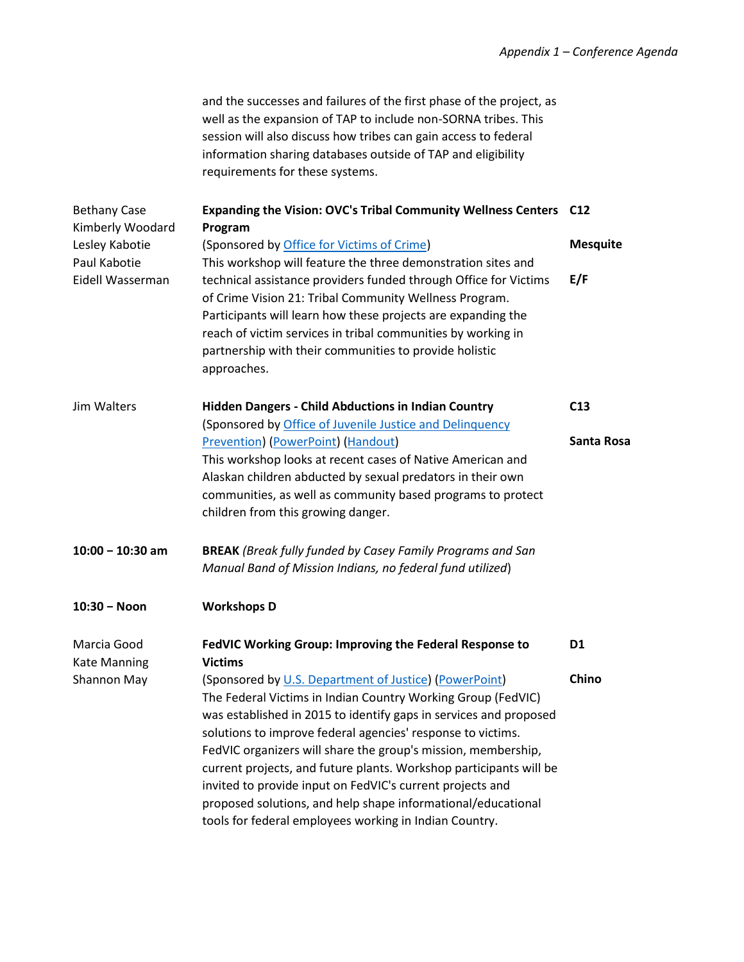and the successes and failures of the first phase of the project, as well as the expansion of TAP to include non-SORNA tribes. This session will also discuss how tribes can gain access to federal information sharing databases outside of TAP and eligibility requirements for these systems.

| <b>Bethany Case</b><br>Kimberly Woodard | Expanding the Vision: OVC's Tribal Community Wellness Centers C12<br>Program |                 |
|-----------------------------------------|------------------------------------------------------------------------------|-----------------|
| Lesley Kabotie                          | (Sponsored by Office for Victims of Crime)                                   | <b>Mesquite</b> |
| Paul Kabotie                            | This workshop will feature the three demonstration sites and                 |                 |
| Eidell Wasserman                        | technical assistance providers funded through Office for Victims             | E/F             |
|                                         | of Crime Vision 21: Tribal Community Wellness Program.                       |                 |
|                                         | Participants will learn how these projects are expanding the                 |                 |
|                                         | reach of victim services in tribal communities by working in                 |                 |
|                                         | partnership with their communities to provide holistic                       |                 |
|                                         | approaches.                                                                  |                 |
| Jim Walters                             | <b>Hidden Dangers - Child Abductions in Indian Country</b>                   | C13             |
|                                         | (Sponsored by Office of Juvenile Justice and Delinquency                     |                 |
|                                         | Prevention) (PowerPoint) (Handout)                                           | Santa Rosa      |
|                                         | This workshop looks at recent cases of Native American and                   |                 |
|                                         | Alaskan children abducted by sexual predators in their own                   |                 |
|                                         | communities, as well as community based programs to protect                  |                 |
|                                         | children from this growing danger.                                           |                 |
| $10:00 - 10:30$ am                      | <b>BREAK</b> (Break fully funded by Casey Family Programs and San            |                 |
|                                         | Manual Band of Mission Indians, no federal fund utilized)                    |                 |
| $10:30 - N$ on                          | <b>Workshops D</b>                                                           |                 |
| Marcia Good                             | FedVIC Working Group: Improving the Federal Response to                      | D1              |
| <b>Kate Manning</b>                     | <b>Victims</b>                                                               |                 |
| Shannon May                             | (Sponsored by U.S. Department of Justice) (PowerPoint)                       | Chino           |
|                                         | The Federal Victims in Indian Country Working Group (FedVIC)                 |                 |
|                                         | was established in 2015 to identify gaps in services and proposed            |                 |
|                                         | solutions to improve federal agencies' response to victims.                  |                 |
|                                         | FedVIC organizers will share the group's mission, membership,                |                 |
|                                         | current projects, and future plants. Workshop participants will be           |                 |
|                                         | invited to provide input on FedVIC's current projects and                    |                 |
|                                         | proposed solutions, and help shape informational/educational                 |                 |
|                                         | tools for federal employees working in Indian Country.                       |                 |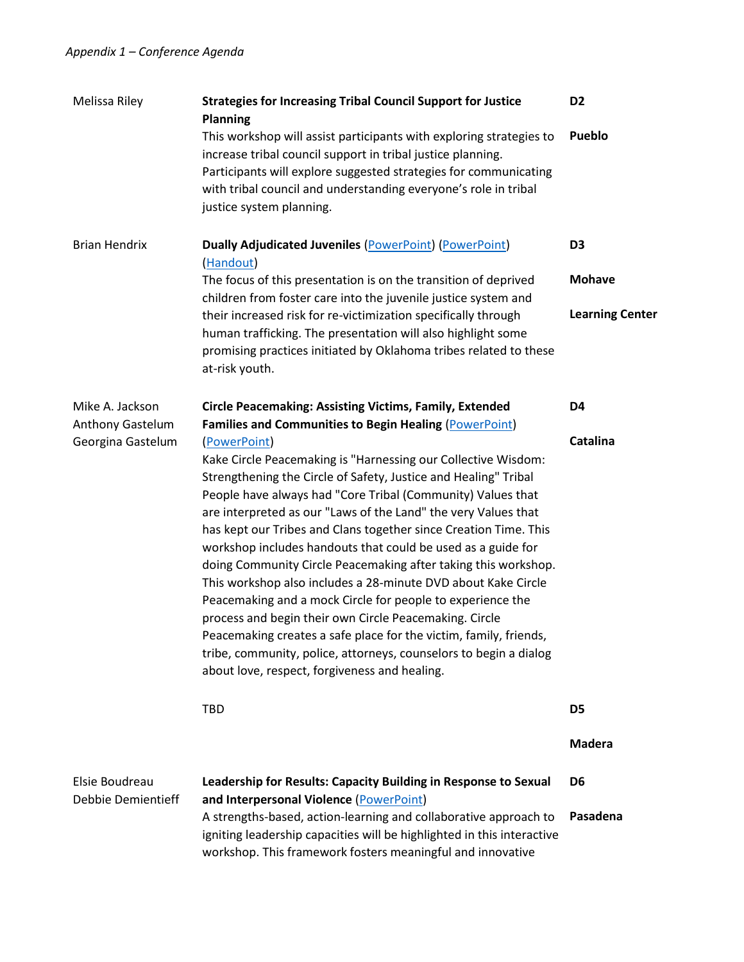| Melissa Riley                         | <b>Strategies for Increasing Tribal Council Support for Justice</b><br><b>Planning</b>                                                                                                                                                                                                                                                                                                                                                                                                                                                                                                                                                                                                                                                                                                                                                                                                                                                       | D <sub>2</sub>         |
|---------------------------------------|----------------------------------------------------------------------------------------------------------------------------------------------------------------------------------------------------------------------------------------------------------------------------------------------------------------------------------------------------------------------------------------------------------------------------------------------------------------------------------------------------------------------------------------------------------------------------------------------------------------------------------------------------------------------------------------------------------------------------------------------------------------------------------------------------------------------------------------------------------------------------------------------------------------------------------------------|------------------------|
|                                       | This workshop will assist participants with exploring strategies to<br>increase tribal council support in tribal justice planning.<br>Participants will explore suggested strategies for communicating<br>with tribal council and understanding everyone's role in tribal<br>justice system planning.                                                                                                                                                                                                                                                                                                                                                                                                                                                                                                                                                                                                                                        | Pueblo                 |
| <b>Brian Hendrix</b>                  | Dually Adjudicated Juveniles (PowerPoint) (PowerPoint)<br>(Handout)                                                                                                                                                                                                                                                                                                                                                                                                                                                                                                                                                                                                                                                                                                                                                                                                                                                                          | D <sub>3</sub>         |
|                                       | The focus of this presentation is on the transition of deprived<br>children from foster care into the juvenile justice system and                                                                                                                                                                                                                                                                                                                                                                                                                                                                                                                                                                                                                                                                                                                                                                                                            | <b>Mohave</b>          |
|                                       | their increased risk for re-victimization specifically through<br>human trafficking. The presentation will also highlight some<br>promising practices initiated by Oklahoma tribes related to these<br>at-risk youth.                                                                                                                                                                                                                                                                                                                                                                                                                                                                                                                                                                                                                                                                                                                        | <b>Learning Center</b> |
| Mike A. Jackson                       | <b>Circle Peacemaking: Assisting Victims, Family, Extended</b>                                                                                                                                                                                                                                                                                                                                                                                                                                                                                                                                                                                                                                                                                                                                                                                                                                                                               | D4                     |
| Anthony Gastelum<br>Georgina Gastelum | <b>Families and Communities to Begin Healing (PowerPoint)</b><br>(PowerPoint)<br>Kake Circle Peacemaking is "Harnessing our Collective Wisdom:<br>Strengthening the Circle of Safety, Justice and Healing" Tribal<br>People have always had "Core Tribal (Community) Values that<br>are interpreted as our "Laws of the Land" the very Values that<br>has kept our Tribes and Clans together since Creation Time. This<br>workshop includes handouts that could be used as a guide for<br>doing Community Circle Peacemaking after taking this workshop.<br>This workshop also includes a 28-minute DVD about Kake Circle<br>Peacemaking and a mock Circle for people to experience the<br>process and begin their own Circle Peacemaking. Circle<br>Peacemaking creates a safe place for the victim, family, friends,<br>tribe, community, police, attorneys, counselors to begin a dialog<br>about love, respect, forgiveness and healing. | <b>Catalina</b>        |
|                                       | TBD                                                                                                                                                                                                                                                                                                                                                                                                                                                                                                                                                                                                                                                                                                                                                                                                                                                                                                                                          | D <sub>5</sub>         |
|                                       |                                                                                                                                                                                                                                                                                                                                                                                                                                                                                                                                                                                                                                                                                                                                                                                                                                                                                                                                              | <b>Madera</b>          |
| Elsie Boudreau<br>Debbie Demientieff  | Leadership for Results: Capacity Building in Response to Sexual<br>and Interpersonal Violence (PowerPoint)                                                                                                                                                                                                                                                                                                                                                                                                                                                                                                                                                                                                                                                                                                                                                                                                                                   | D <sub>6</sub>         |
|                                       | A strengths-based, action-learning and collaborative approach to<br>igniting leadership capacities will be highlighted in this interactive<br>workshop. This framework fosters meaningful and innovative                                                                                                                                                                                                                                                                                                                                                                                                                                                                                                                                                                                                                                                                                                                                     | Pasadena               |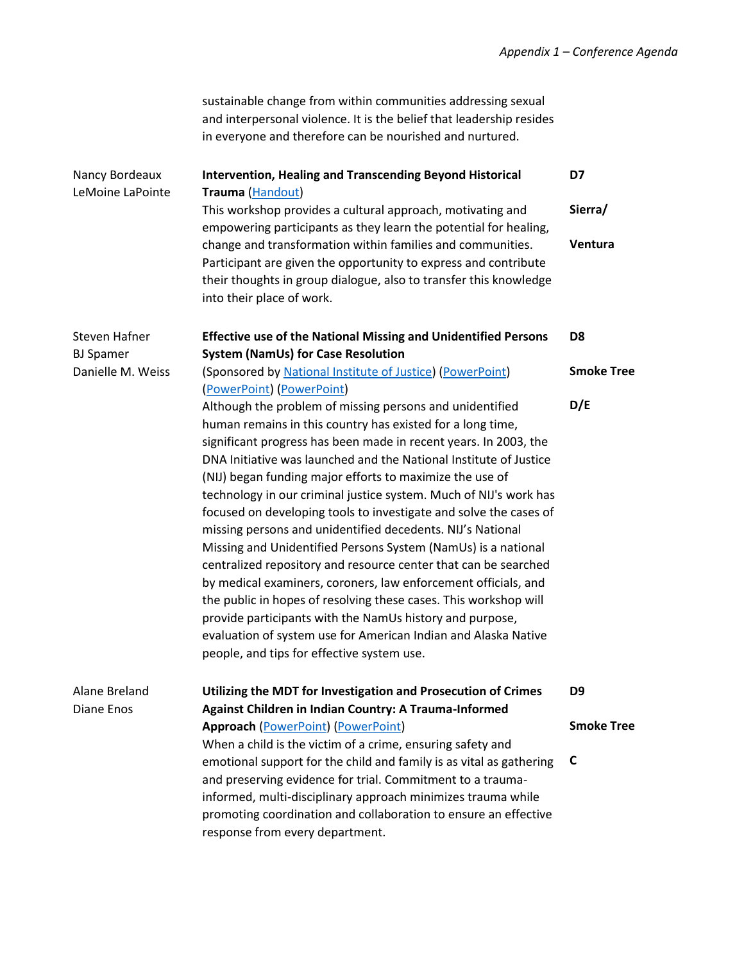sustainable change from within communities addressing sexual and interpersonal violence. It is the belief that leadership resides in everyone and therefore can be nourished and nurtured.

| Nancy Bordeaux<br>LeMoine LaPointe       | <b>Intervention, Healing and Transcending Beyond Historical</b><br>Trauma (Handout)                                                                                                                                                                                                                                                                                                                                                                                                                                                                                                                                                                                                                                                                                                                                                                                                                                                                                                       | D7                |
|------------------------------------------|-------------------------------------------------------------------------------------------------------------------------------------------------------------------------------------------------------------------------------------------------------------------------------------------------------------------------------------------------------------------------------------------------------------------------------------------------------------------------------------------------------------------------------------------------------------------------------------------------------------------------------------------------------------------------------------------------------------------------------------------------------------------------------------------------------------------------------------------------------------------------------------------------------------------------------------------------------------------------------------------|-------------------|
|                                          | This workshop provides a cultural approach, motivating and<br>empowering participants as they learn the potential for healing,                                                                                                                                                                                                                                                                                                                                                                                                                                                                                                                                                                                                                                                                                                                                                                                                                                                            | Sierra/           |
|                                          | change and transformation within families and communities.<br>Participant are given the opportunity to express and contribute<br>their thoughts in group dialogue, also to transfer this knowledge<br>into their place of work.                                                                                                                                                                                                                                                                                                                                                                                                                                                                                                                                                                                                                                                                                                                                                           | Ventura           |
| <b>Steven Hafner</b><br><b>BJ</b> Spamer | <b>Effective use of the National Missing and Unidentified Persons</b><br><b>System (NamUs) for Case Resolution</b>                                                                                                                                                                                                                                                                                                                                                                                                                                                                                                                                                                                                                                                                                                                                                                                                                                                                        | D <sub>8</sub>    |
| Danielle M. Weiss                        | (Sponsored by National Institute of Justice) (PowerPoint)<br>(PowerPoint) (PowerPoint)                                                                                                                                                                                                                                                                                                                                                                                                                                                                                                                                                                                                                                                                                                                                                                                                                                                                                                    | <b>Smoke Tree</b> |
|                                          | Although the problem of missing persons and unidentified<br>human remains in this country has existed for a long time,<br>significant progress has been made in recent years. In 2003, the<br>DNA Initiative was launched and the National Institute of Justice<br>(NIJ) began funding major efforts to maximize the use of<br>technology in our criminal justice system. Much of NIJ's work has<br>focused on developing tools to investigate and solve the cases of<br>missing persons and unidentified decedents. NIJ's National<br>Missing and Unidentified Persons System (NamUs) is a national<br>centralized repository and resource center that can be searched<br>by medical examiners, coroners, law enforcement officials, and<br>the public in hopes of resolving these cases. This workshop will<br>provide participants with the NamUs history and purpose,<br>evaluation of system use for American Indian and Alaska Native<br>people, and tips for effective system use. | D/E               |
| Alane Breland                            | Utilizing the MDT for Investigation and Prosecution of Crimes                                                                                                                                                                                                                                                                                                                                                                                                                                                                                                                                                                                                                                                                                                                                                                                                                                                                                                                             | D <sub>9</sub>    |
| Diane Enos                               | Against Children in Indian Country: A Trauma-Informed<br><b>Approach (PowerPoint) (PowerPoint)</b>                                                                                                                                                                                                                                                                                                                                                                                                                                                                                                                                                                                                                                                                                                                                                                                                                                                                                        | <b>Smoke Tree</b> |
|                                          | When a child is the victim of a crime, ensuring safety and                                                                                                                                                                                                                                                                                                                                                                                                                                                                                                                                                                                                                                                                                                                                                                                                                                                                                                                                |                   |
|                                          | emotional support for the child and family is as vital as gathering                                                                                                                                                                                                                                                                                                                                                                                                                                                                                                                                                                                                                                                                                                                                                                                                                                                                                                                       | C                 |
|                                          | and preserving evidence for trial. Commitment to a trauma-                                                                                                                                                                                                                                                                                                                                                                                                                                                                                                                                                                                                                                                                                                                                                                                                                                                                                                                                |                   |
|                                          | informed, multi-disciplinary approach minimizes trauma while                                                                                                                                                                                                                                                                                                                                                                                                                                                                                                                                                                                                                                                                                                                                                                                                                                                                                                                              |                   |
|                                          | promoting coordination and collaboration to ensure an effective<br>response from every department.                                                                                                                                                                                                                                                                                                                                                                                                                                                                                                                                                                                                                                                                                                                                                                                                                                                                                        |                   |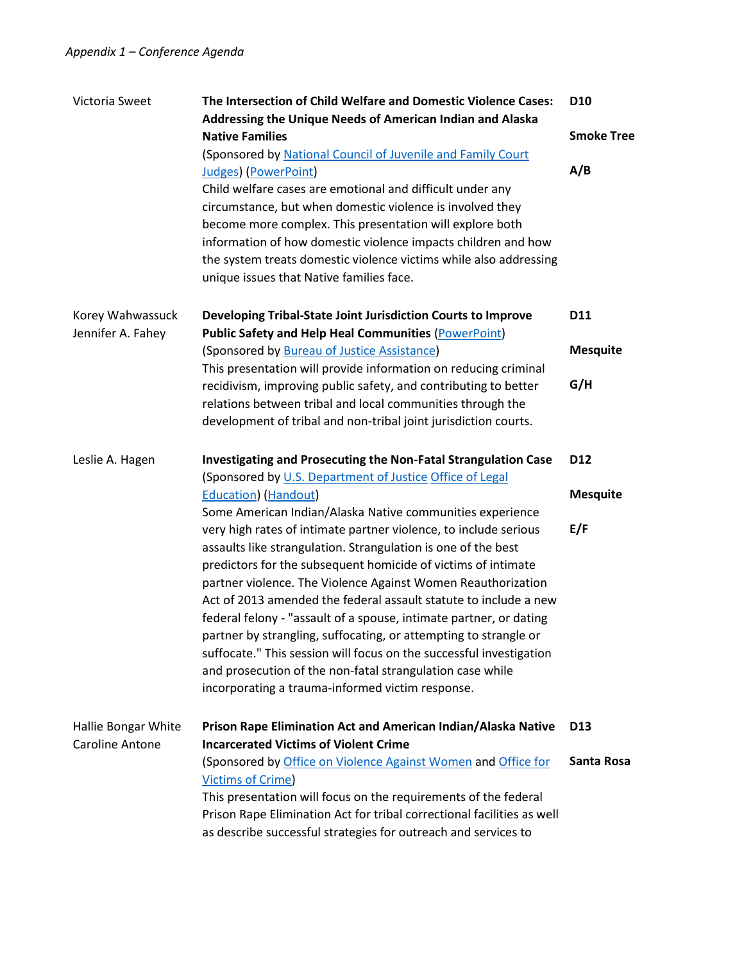| Victoria Sweet                        | The Intersection of Child Welfare and Domestic Violence Cases:<br>Addressing the Unique Needs of American Indian and Alaska | D <sub>10</sub>   |
|---------------------------------------|-----------------------------------------------------------------------------------------------------------------------------|-------------------|
|                                       | <b>Native Families</b>                                                                                                      | <b>Smoke Tree</b> |
|                                       | (Sponsored by National Council of Juvenile and Family Court                                                                 |                   |
|                                       | <b>Judges)</b> (PowerPoint)                                                                                                 | A/B               |
|                                       | Child welfare cases are emotional and difficult under any                                                                   |                   |
|                                       | circumstance, but when domestic violence is involved they                                                                   |                   |
|                                       | become more complex. This presentation will explore both                                                                    |                   |
|                                       | information of how domestic violence impacts children and how                                                               |                   |
|                                       | the system treats domestic violence victims while also addressing                                                           |                   |
|                                       | unique issues that Native families face.                                                                                    |                   |
| Korey Wahwassuck<br>Jennifer A. Fahey | Developing Tribal-State Joint Jurisdiction Courts to Improve<br><b>Public Safety and Help Heal Communities (PowerPoint)</b> | D11               |
|                                       | (Sponsored by Bureau of Justice Assistance)                                                                                 | <b>Mesquite</b>   |
|                                       | This presentation will provide information on reducing criminal                                                             |                   |
|                                       | recidivism, improving public safety, and contributing to better                                                             | G/H               |
|                                       | relations between tribal and local communities through the                                                                  |                   |
|                                       | development of tribal and non-tribal joint jurisdiction courts.                                                             |                   |
| Leslie A. Hagen                       | Investigating and Prosecuting the Non-Fatal Strangulation Case                                                              | D12               |
|                                       | (Sponsored by U.S. Department of Justice Office of Legal                                                                    |                   |
|                                       | <b>Education</b> ) (Handout)                                                                                                | <b>Mesquite</b>   |
|                                       | Some American Indian/Alaska Native communities experience                                                                   |                   |
|                                       | very high rates of intimate partner violence, to include serious                                                            | E/F               |
|                                       | assaults like strangulation. Strangulation is one of the best                                                               |                   |
|                                       | predictors for the subsequent homicide of victims of intimate                                                               |                   |
|                                       | partner violence. The Violence Against Women Reauthorization                                                                |                   |
|                                       | Act of 2013 amended the federal assault statute to include a new                                                            |                   |
|                                       | federal felony - "assault of a spouse, intimate partner, or dating                                                          |                   |
|                                       | partner by strangling, suffocating, or attempting to strangle or                                                            |                   |
|                                       | suffocate." This session will focus on the successful investigation                                                         |                   |
|                                       | and prosecution of the non-fatal strangulation case while                                                                   |                   |
|                                       | incorporating a trauma-informed victim response.                                                                            |                   |
| Hallie Bongar White                   | Prison Rape Elimination Act and American Indian/Alaska Native                                                               | D <sub>13</sub>   |
| <b>Caroline Antone</b>                | <b>Incarcerated Victims of Violent Crime</b>                                                                                |                   |
|                                       | (Sponsored by Office on Violence Against Women and Office for<br><b>Victims of Crime)</b>                                   | Santa Rosa        |
|                                       | This presentation will focus on the requirements of the federal                                                             |                   |
|                                       | Prison Rape Elimination Act for tribal correctional facilities as well                                                      |                   |
|                                       | as describe successful strategies for outreach and services to                                                              |                   |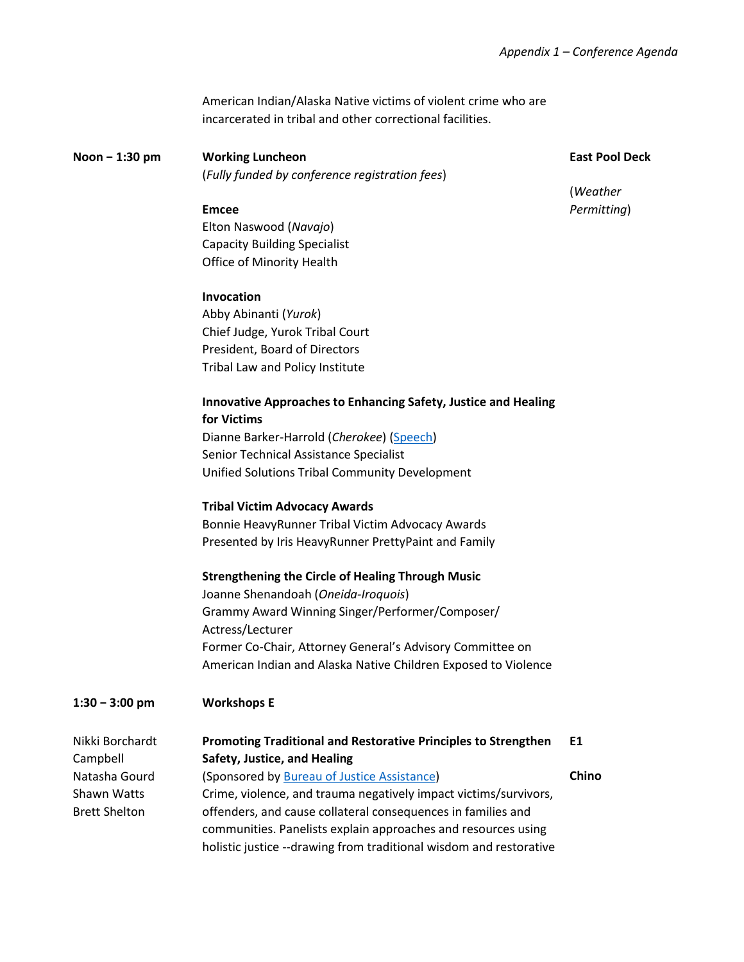American Indian/Alaska Native victims of violent crime who are incarcerated in tribal and other correctional facilities.

**Noon − 1:30 pm Working Luncheon** (*Fully funded by conference registration fees*) **East Pool Deck**

(*Weather Permitting*)

## **Emcee**

Elton Naswood (*Navajo*) Capacity Building Specialist Office of Minority Health

#### **Invocation**

Abby Abinanti (*Yurok*) Chief Judge, Yurok Tribal Court President, Board of Directors Tribal Law and Policy Institute

### **Innovative Approaches to Enhancing Safety, Justice and Healing for Victims**

Dianne Barker-Harrold (*Cherokee*) [\(Speech\)](http://www.tribal-institute.org/2016/DianeBarkerHarold.pdf) Senior Technical Assistance Specialist Unified Solutions Tribal Community Development

#### **Tribal Victim Advocacy Awards**

Bonnie HeavyRunner Tribal Victim Advocacy Awards Presented by Iris HeavyRunner PrettyPaint and Family

#### **Strengthening the Circle of Healing Through Music**

Joanne Shenandoah (*Oneida-Iroquois*) Grammy Award Winning Singer/Performer/Composer/ Actress/Lecturer Former Co-Chair, Attorney General's Advisory Committee on American Indian and Alaska Native Children Exposed to Violence

#### **1:30 − 3:00 pm Workshops E**

| Nikki Borchardt      | <b>Promoting Traditional and Restorative Principles to Strengthen</b> | E1    |
|----------------------|-----------------------------------------------------------------------|-------|
| Campbell             | Safety, Justice, and Healing                                          |       |
| Natasha Gourd        | (Sponsored by Bureau of Justice Assistance)                           | Chino |
| Shawn Watts          | Crime, violence, and trauma negatively impact victims/survivors,      |       |
| <b>Brett Shelton</b> | offenders, and cause collateral consequences in families and          |       |
|                      | communities. Panelists explain approaches and resources using         |       |
|                      | holistic justice --drawing from traditional wisdom and restorative    |       |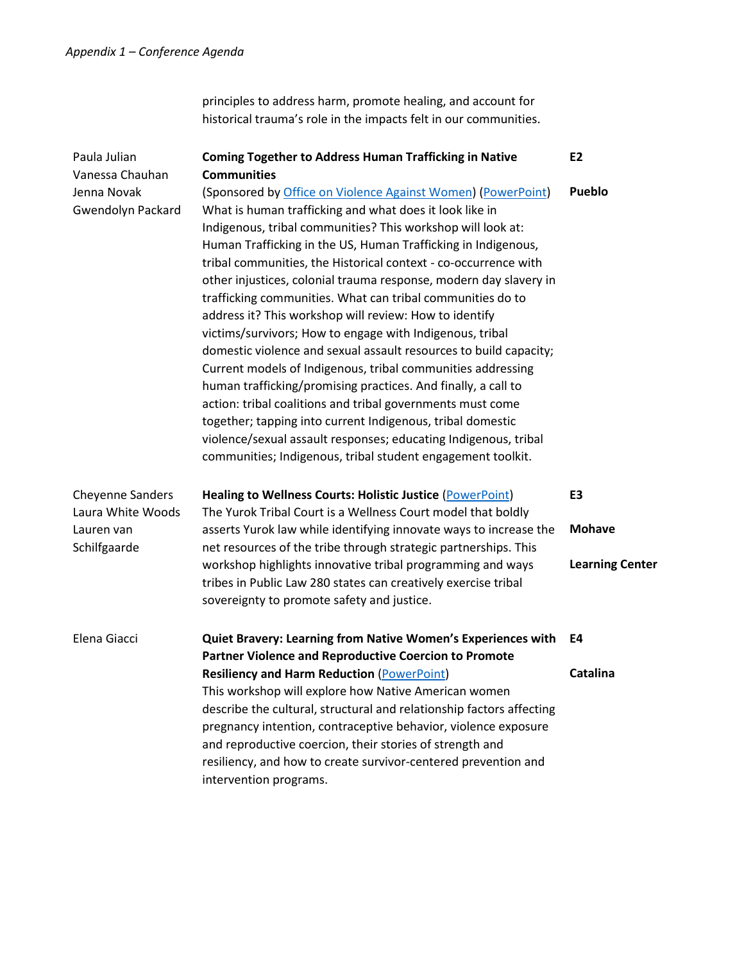principles to address harm, promote healing, and account for historical trauma's role in the impacts felt in our communities.

| Paula Julian<br>Vanessa Chauhan              | <b>Coming Together to Address Human Trafficking in Native</b><br><b>Communities</b>                                                                                                                                                                                                                                                                                                                                                                                                                                                                                                                                                                                                                                                                                                                                                                                                                                                                                                                                                                    | E <sub>2</sub>         |
|----------------------------------------------|--------------------------------------------------------------------------------------------------------------------------------------------------------------------------------------------------------------------------------------------------------------------------------------------------------------------------------------------------------------------------------------------------------------------------------------------------------------------------------------------------------------------------------------------------------------------------------------------------------------------------------------------------------------------------------------------------------------------------------------------------------------------------------------------------------------------------------------------------------------------------------------------------------------------------------------------------------------------------------------------------------------------------------------------------------|------------------------|
| Jenna Novak<br>Gwendolyn Packard             | (Sponsored by Office on Violence Against Women) (PowerPoint)<br>What is human trafficking and what does it look like in<br>Indigenous, tribal communities? This workshop will look at:<br>Human Trafficking in the US, Human Trafficking in Indigenous,<br>tribal communities, the Historical context - co-occurrence with<br>other injustices, colonial trauma response, modern day slavery in<br>trafficking communities. What can tribal communities do to<br>address it? This workshop will review: How to identify<br>victims/survivors; How to engage with Indigenous, tribal<br>domestic violence and sexual assault resources to build capacity;<br>Current models of Indigenous, tribal communities addressing<br>human trafficking/promising practices. And finally, a call to<br>action: tribal coalitions and tribal governments must come<br>together; tapping into current Indigenous, tribal domestic<br>violence/sexual assault responses; educating Indigenous, tribal<br>communities; Indigenous, tribal student engagement toolkit. | Pueblo                 |
| <b>Cheyenne Sanders</b><br>Laura White Woods | <b>Healing to Wellness Courts: Holistic Justice (PowerPoint)</b><br>The Yurok Tribal Court is a Wellness Court model that boldly                                                                                                                                                                                                                                                                                                                                                                                                                                                                                                                                                                                                                                                                                                                                                                                                                                                                                                                       | E <sub>3</sub>         |
| Lauren van<br>Schilfgaarde                   | asserts Yurok law while identifying innovate ways to increase the<br>net resources of the tribe through strategic partnerships. This                                                                                                                                                                                                                                                                                                                                                                                                                                                                                                                                                                                                                                                                                                                                                                                                                                                                                                                   | <b>Mohave</b>          |
|                                              | workshop highlights innovative tribal programming and ways<br>tribes in Public Law 280 states can creatively exercise tribal<br>sovereignty to promote safety and justice.                                                                                                                                                                                                                                                                                                                                                                                                                                                                                                                                                                                                                                                                                                                                                                                                                                                                             | <b>Learning Center</b> |
| Elena Giacci                                 | Quiet Bravery: Learning from Native Women's Experiences with<br>Partner Violence and Reproductive Coercion to Promote                                                                                                                                                                                                                                                                                                                                                                                                                                                                                                                                                                                                                                                                                                                                                                                                                                                                                                                                  | E4                     |
|                                              | <b>Resiliency and Harm Reduction (POWERPOINT)</b><br>This workshop will explore how Native American women<br>describe the cultural, structural and relationship factors affecting<br>pregnancy intention, contraceptive behavior, violence exposure<br>and reproductive coercion, their stories of strength and<br>resiliency, and how to create survivor-centered prevention and<br>intervention programs.                                                                                                                                                                                                                                                                                                                                                                                                                                                                                                                                                                                                                                            | <b>Catalina</b>        |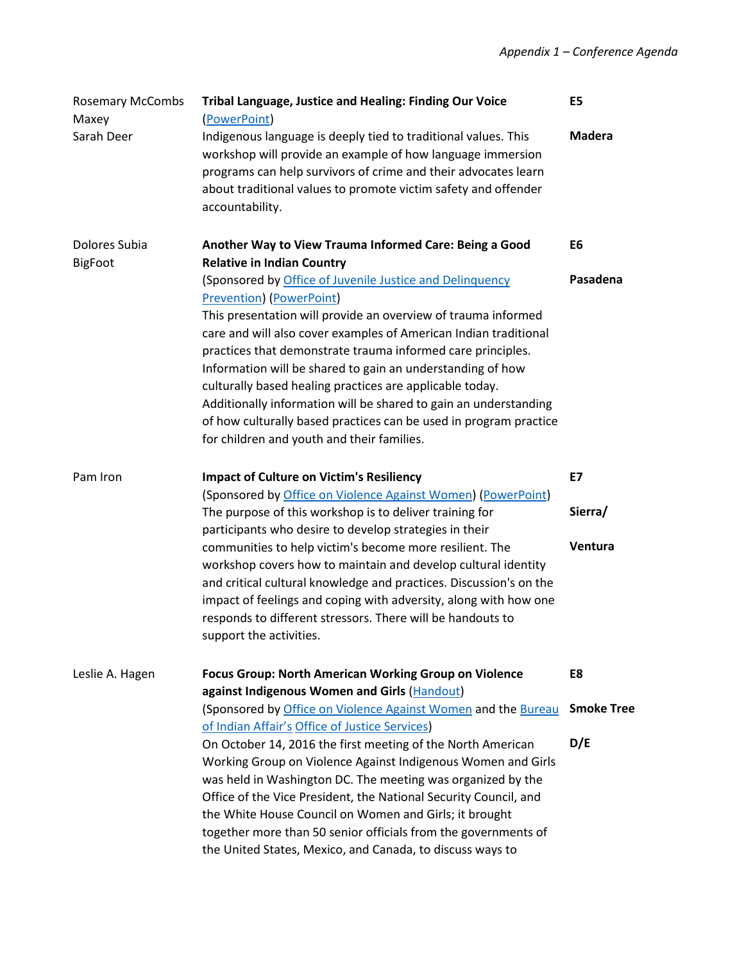| <b>Rosemary McCombs</b><br>Maxey | <b>Tribal Language, Justice and Healing: Finding Our Voice</b><br>(PowerPoint)                                                                                                                                                                                                                                                                                                                                                                          | E5                |
|----------------------------------|---------------------------------------------------------------------------------------------------------------------------------------------------------------------------------------------------------------------------------------------------------------------------------------------------------------------------------------------------------------------------------------------------------------------------------------------------------|-------------------|
| Sarah Deer                       | Indigenous language is deeply tied to traditional values. This<br>workshop will provide an example of how language immersion<br>programs can help survivors of crime and their advocates learn<br>about traditional values to promote victim safety and offender<br>accountability.                                                                                                                                                                     | <b>Madera</b>     |
| Dolores Subia<br><b>BigFoot</b>  | Another Way to View Trauma Informed Care: Being a Good<br><b>Relative in Indian Country</b>                                                                                                                                                                                                                                                                                                                                                             | E6                |
|                                  | (Sponsored by Office of Juvenile Justice and Delinquency<br><b>Prevention</b> ) (PowerPoint)<br>This presentation will provide an overview of trauma informed                                                                                                                                                                                                                                                                                           | Pasadena          |
|                                  | care and will also cover examples of American Indian traditional<br>practices that demonstrate trauma informed care principles.<br>Information will be shared to gain an understanding of how<br>culturally based healing practices are applicable today.<br>Additionally information will be shared to gain an understanding<br>of how culturally based practices can be used in program practice<br>for children and youth and their families.        |                   |
| Pam Iron                         | <b>Impact of Culture on Victim's Resiliency</b>                                                                                                                                                                                                                                                                                                                                                                                                         | <b>E7</b>         |
|                                  | (Sponsored by Office on Violence Against Women) (PowerPoint)<br>The purpose of this workshop is to deliver training for<br>participants who desire to develop strategies in their                                                                                                                                                                                                                                                                       | Sierra/           |
|                                  | communities to help victim's become more resilient. The<br>workshop covers how to maintain and develop cultural identity<br>and critical cultural knowledge and practices. Discussion's on the<br>impact of feelings and coping with adversity, along with how one<br>responds to different stressors. There will be handouts to<br>support the activities.                                                                                             | Ventura           |
| Leslie A. Hagen                  | <b>Focus Group: North American Working Group on Violence</b><br>against Indigenous Women and Girls (Handout)                                                                                                                                                                                                                                                                                                                                            | E8                |
|                                  | (Sponsored by Office on Violence Against Women and the Bureau<br>of Indian Affair's Office of Justice Services)                                                                                                                                                                                                                                                                                                                                         | <b>Smoke Tree</b> |
|                                  | On October 14, 2016 the first meeting of the North American<br>Working Group on Violence Against Indigenous Women and Girls<br>was held in Washington DC. The meeting was organized by the<br>Office of the Vice President, the National Security Council, and<br>the White House Council on Women and Girls; it brought<br>together more than 50 senior officials from the governments of<br>the United States, Mexico, and Canada, to discuss ways to | D/E               |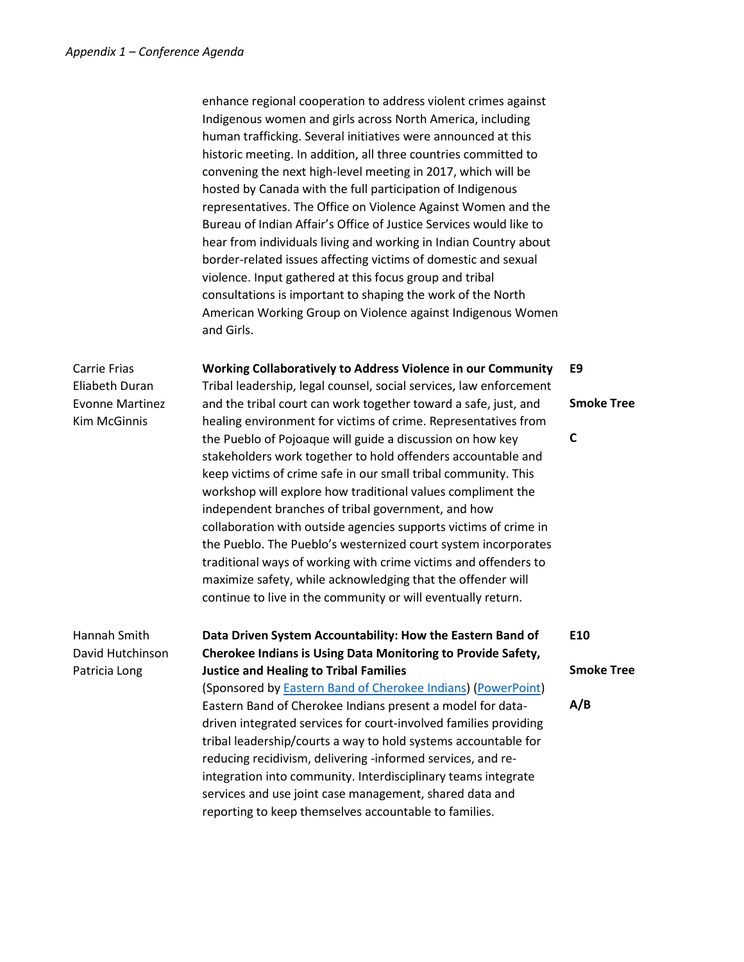enhance regional cooperation to address violent crimes against Indigenous women and girls across North America, including human trafficking. Several initiatives were announced at this historic meeting. In addition, all three countries committed to convening the next high-level meeting in 2017, which will be hosted by Canada with the full participation of Indigenous representatives. The Office on Violence Against Women and the Bureau of Indian Affair's Office of Justice Services would like to hear from individuals living and working in Indian Country about border-related issues affecting victims of domestic and sexual violence. Input gathered at this focus group and tribal consultations is important to shaping the work of the North American Working Group on Violence against Indigenous Women and Girls.

Carrie Frias Eliabeth Duran Evonne Martinez Kim McGinnis

**Working Collaboratively to Address Violence in our Community** Tribal leadership, legal counsel, social services, law enforcement

and the tribal court can work together toward a safe, just, and healing environment for victims of crime. Representatives from the Pueblo of Pojoaque will guide a discussion on how key stakeholders work together to hold offenders accountable and keep victims of crime safe in our small tribal community. This workshop will explore how traditional values compliment the independent branches of tribal government, and how collaboration with outside agencies supports victims of crime in the Pueblo. The Pueblo's westernized court system incorporates traditional ways of working with crime victims and offenders to maximize safety, while acknowledging that the offender will continue to live in the community or will eventually return.

## Hannah Smith David Hutchinson Patricia Long

**Data Driven System Accountability: How the Eastern Band of Cherokee Indians is Using Data Monitoring to Provide Safety, Justice and Healing to Tribal Families**

(Sponsored by [Eastern Band of Cherokee Indians\)](http://ebci.com/) [\(PowerPoint\)](http://www.tribal-institute.org/2016/E10PP.pdf) Eastern Band of Cherokee Indians present a model for datadriven integrated services for court-involved families providing tribal leadership/courts a way to hold systems accountable for reducing recidivism, delivering -informed services, and reintegration into community. Interdisciplinary teams integrate services and use joint case management, shared data and reporting to keep themselves accountable to families.

**E9**

**Smoke Tree**

**C**

**Smoke Tree**

**A/B**

**E10**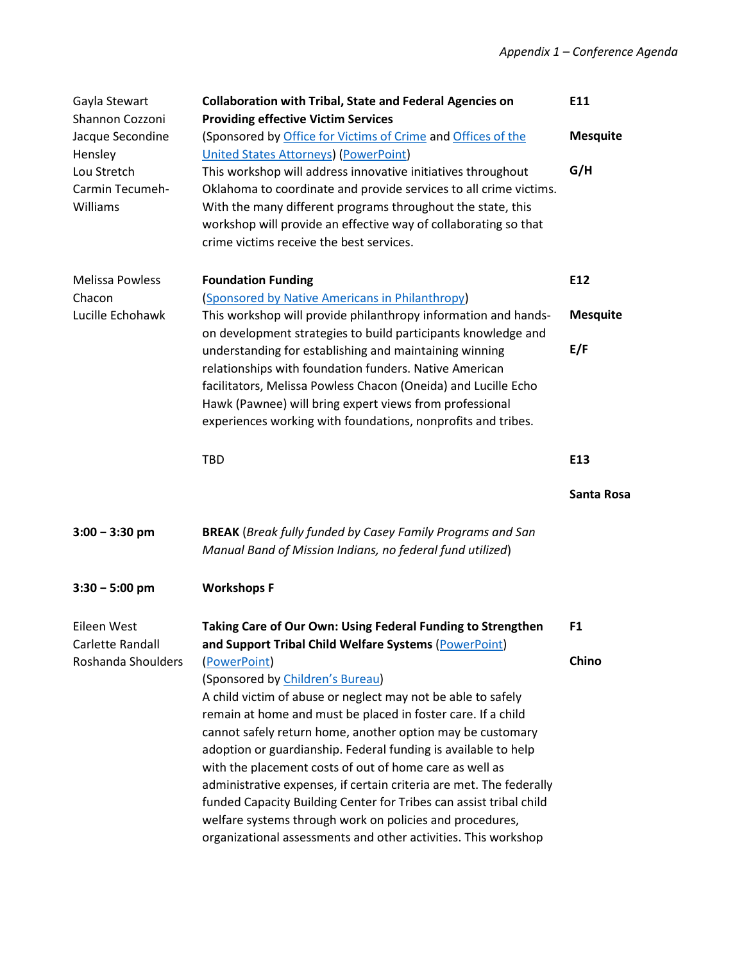| Gayla Stewart<br>Shannon Cozzoni           | <b>Collaboration with Tribal, State and Federal Agencies on</b><br><b>Providing effective Victim Services</b>                                                                                                                                                                                                                                                                                                                                                                                                                                                                                                                                          | E11             |
|--------------------------------------------|--------------------------------------------------------------------------------------------------------------------------------------------------------------------------------------------------------------------------------------------------------------------------------------------------------------------------------------------------------------------------------------------------------------------------------------------------------------------------------------------------------------------------------------------------------------------------------------------------------------------------------------------------------|-----------------|
| Jacque Secondine<br>Hensley                | (Sponsored by Office for Victims of Crime and Offices of the<br><b>United States Attorneys) (PowerPoint)</b>                                                                                                                                                                                                                                                                                                                                                                                                                                                                                                                                           | <b>Mesquite</b> |
| Lou Stretch<br>Carmin Tecumeh-<br>Williams | This workshop will address innovative initiatives throughout<br>Oklahoma to coordinate and provide services to all crime victims.<br>With the many different programs throughout the state, this<br>workshop will provide an effective way of collaborating so that<br>crime victims receive the best services.                                                                                                                                                                                                                                                                                                                                        | G/H             |
| <b>Melissa Powless</b><br>Chacon           | <b>Foundation Funding</b><br>(Sponsored by Native Americans in Philanthropy)                                                                                                                                                                                                                                                                                                                                                                                                                                                                                                                                                                           | E12             |
| Lucille Echohawk                           | This workshop will provide philanthropy information and hands-<br>on development strategies to build participants knowledge and                                                                                                                                                                                                                                                                                                                                                                                                                                                                                                                        | <b>Mesquite</b> |
|                                            | understanding for establishing and maintaining winning<br>relationships with foundation funders. Native American<br>facilitators, Melissa Powless Chacon (Oneida) and Lucille Echo<br>Hawk (Pawnee) will bring expert views from professional<br>experiences working with foundations, nonprofits and tribes.                                                                                                                                                                                                                                                                                                                                          | E/F             |
|                                            | <b>TBD</b>                                                                                                                                                                                                                                                                                                                                                                                                                                                                                                                                                                                                                                             | E13             |
|                                            |                                                                                                                                                                                                                                                                                                                                                                                                                                                                                                                                                                                                                                                        | Santa Rosa      |
| $3:00 - 3:30$ pm                           | <b>BREAK</b> (Break fully funded by Casey Family Programs and San<br>Manual Band of Mission Indians, no federal fund utilized)                                                                                                                                                                                                                                                                                                                                                                                                                                                                                                                         |                 |
| $3:30 - 5:00$ pm                           | <b>Workshops F</b>                                                                                                                                                                                                                                                                                                                                                                                                                                                                                                                                                                                                                                     |                 |
| Eileen West<br>Carlette Randall            | Taking Care of Our Own: Using Federal Funding to Strengthen<br>and Support Tribal Child Welfare Systems (PowerPoint)                                                                                                                                                                                                                                                                                                                                                                                                                                                                                                                                   | F <sub>1</sub>  |
| Roshanda Shoulders                         | (PowerPoint)<br>(Sponsored by Children's Bureau)<br>A child victim of abuse or neglect may not be able to safely<br>remain at home and must be placed in foster care. If a child<br>cannot safely return home, another option may be customary<br>adoption or guardianship. Federal funding is available to help<br>with the placement costs of out of home care as well as<br>administrative expenses, if certain criteria are met. The federally<br>funded Capacity Building Center for Tribes can assist tribal child<br>welfare systems through work on policies and procedures,<br>organizational assessments and other activities. This workshop | Chino           |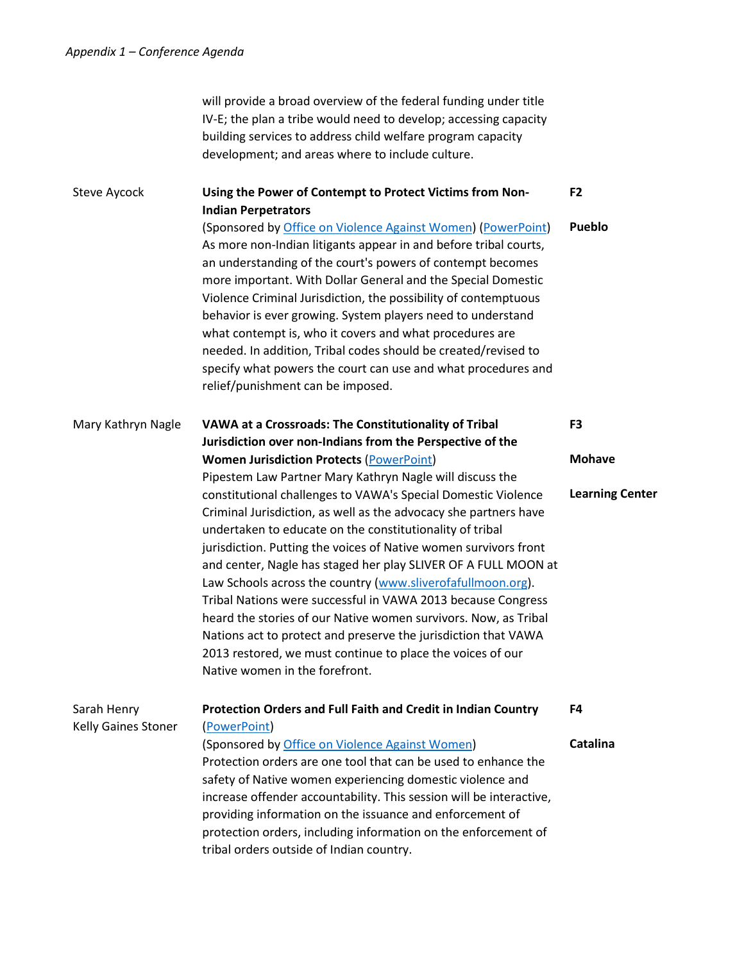|                                    | will provide a broad overview of the federal funding under title<br>IV-E; the plan a tribe would need to develop; accessing capacity<br>building services to address child welfare program capacity<br>development; and areas where to include culture.                                                                                                                                                                                                                                                                                                                                                                                                                                                                                                                                                                                                                                                                                      |                                                           |
|------------------------------------|----------------------------------------------------------------------------------------------------------------------------------------------------------------------------------------------------------------------------------------------------------------------------------------------------------------------------------------------------------------------------------------------------------------------------------------------------------------------------------------------------------------------------------------------------------------------------------------------------------------------------------------------------------------------------------------------------------------------------------------------------------------------------------------------------------------------------------------------------------------------------------------------------------------------------------------------|-----------------------------------------------------------|
| Steve Aycock                       | Using the Power of Contempt to Protect Victims from Non-<br><b>Indian Perpetrators</b><br>(Sponsored by Office on Violence Against Women) (PowerPoint)<br>As more non-Indian litigants appear in and before tribal courts,<br>an understanding of the court's powers of contempt becomes<br>more important. With Dollar General and the Special Domestic<br>Violence Criminal Jurisdiction, the possibility of contemptuous<br>behavior is ever growing. System players need to understand<br>what contempt is, who it covers and what procedures are<br>needed. In addition, Tribal codes should be created/revised to<br>specify what powers the court can use and what procedures and<br>relief/punishment can be imposed.                                                                                                                                                                                                                | F <sub>2</sub><br>Pueblo                                  |
| Mary Kathryn Nagle                 | VAWA at a Crossroads: The Constitutionality of Tribal<br>Jurisdiction over non-Indians from the Perspective of the<br><b>Women Jurisdiction Protects (PowerPoint)</b><br>Pipestem Law Partner Mary Kathryn Nagle will discuss the<br>constitutional challenges to VAWA's Special Domestic Violence<br>Criminal Jurisdiction, as well as the advocacy she partners have<br>undertaken to educate on the constitutionality of tribal<br>jurisdiction. Putting the voices of Native women survivors front<br>and center, Nagle has staged her play SLIVER OF A FULL MOON at<br>Law Schools across the country (www.sliverofafullmoon.org).<br>Tribal Nations were successful in VAWA 2013 because Congress<br>heard the stories of our Native women survivors. Now, as Tribal<br>Nations act to protect and preserve the jurisdiction that VAWA<br>2013 restored, we must continue to place the voices of our<br>Native women in the forefront. | F <sub>3</sub><br><b>Mohave</b><br><b>Learning Center</b> |
| Sarah Henry<br>Kelly Gaines Stoner | Protection Orders and Full Faith and Credit in Indian Country<br>(PowerPoint)<br>(Sponsored by Office on Violence Against Women)<br>Protection orders are one tool that can be used to enhance the<br>safety of Native women experiencing domestic violence and<br>increase offender accountability. This session will be interactive,<br>providing information on the issuance and enforcement of<br>protection orders, including information on the enforcement of<br>tribal orders outside of Indian country.                                                                                                                                                                                                                                                                                                                                                                                                                             | F4<br>Catalina                                            |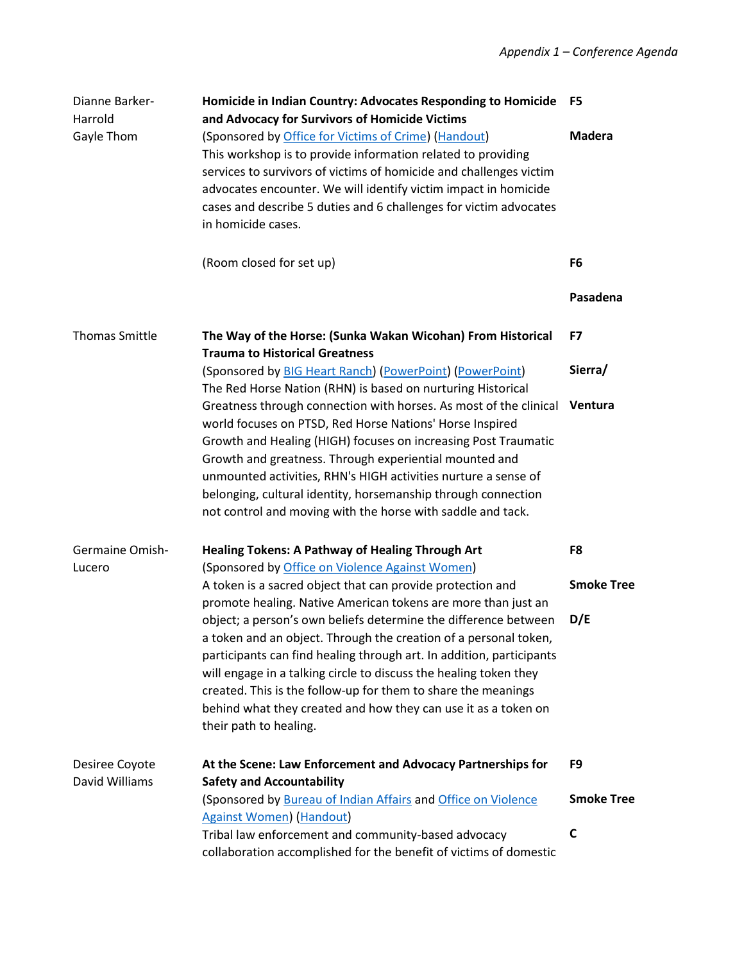| Dianne Barker-<br>Harrold        | Homicide in Indian Country: Advocates Responding to Homicide<br>and Advocacy for Survivors of Homicide Victims                                                                                                                                                                                                                                                                                                                                              | F5                |
|----------------------------------|-------------------------------------------------------------------------------------------------------------------------------------------------------------------------------------------------------------------------------------------------------------------------------------------------------------------------------------------------------------------------------------------------------------------------------------------------------------|-------------------|
| Gayle Thom                       | (Sponsored by Office for Victims of Crime) (Handout)<br>This workshop is to provide information related to providing<br>services to survivors of victims of homicide and challenges victim<br>advocates encounter. We will identify victim impact in homicide<br>cases and describe 5 duties and 6 challenges for victim advocates<br>in homicide cases.                                                                                                    | <b>Madera</b>     |
|                                  | (Room closed for set up)                                                                                                                                                                                                                                                                                                                                                                                                                                    | F <sub>6</sub>    |
|                                  |                                                                                                                                                                                                                                                                                                                                                                                                                                                             | Pasadena          |
| <b>Thomas Smittle</b>            | The Way of the Horse: (Sunka Wakan Wicohan) From Historical<br><b>Trauma to Historical Greatness</b>                                                                                                                                                                                                                                                                                                                                                        | F7                |
|                                  | (Sponsored by BIG Heart Ranch) (PowerPoint) (PowerPoint)<br>The Red Horse Nation (RHN) is based on nurturing Historical                                                                                                                                                                                                                                                                                                                                     | Sierra/           |
|                                  | Greatness through connection with horses. As most of the clinical<br>world focuses on PTSD, Red Horse Nations' Horse Inspired<br>Growth and Healing (HIGH) focuses on increasing Post Traumatic<br>Growth and greatness. Through experiential mounted and<br>unmounted activities, RHN's HIGH activities nurture a sense of<br>belonging, cultural identity, horsemanship through connection<br>not control and moving with the horse with saddle and tack. | Ventura           |
| Germaine Omish-                  | <b>Healing Tokens: A Pathway of Healing Through Art</b>                                                                                                                                                                                                                                                                                                                                                                                                     | F8                |
| Lucero                           | (Sponsored by Office on Violence Against Women)<br>A token is a sacred object that can provide protection and<br>promote healing. Native American tokens are more than just an                                                                                                                                                                                                                                                                              | <b>Smoke Tree</b> |
|                                  | object; a person's own beliefs determine the difference between<br>a token and an object. Through the creation of a personal token,<br>participants can find healing through art. In addition, participants<br>will engage in a talking circle to discuss the healing token they<br>created. This is the follow-up for them to share the meanings<br>behind what they created and how they can use it as a token on<br>their path to healing.               | D/E               |
| Desiree Coyote<br>David Williams | At the Scene: Law Enforcement and Advocacy Partnerships for<br><b>Safety and Accountability</b>                                                                                                                                                                                                                                                                                                                                                             | F9                |
|                                  | (Sponsored by Bureau of Indian Affairs and Office on Violence<br><b>Against Women</b> ) (Handout)                                                                                                                                                                                                                                                                                                                                                           | <b>Smoke Tree</b> |
|                                  | Tribal law enforcement and community-based advocacy<br>collaboration accomplished for the benefit of victims of domestic                                                                                                                                                                                                                                                                                                                                    | $\mathbf c$       |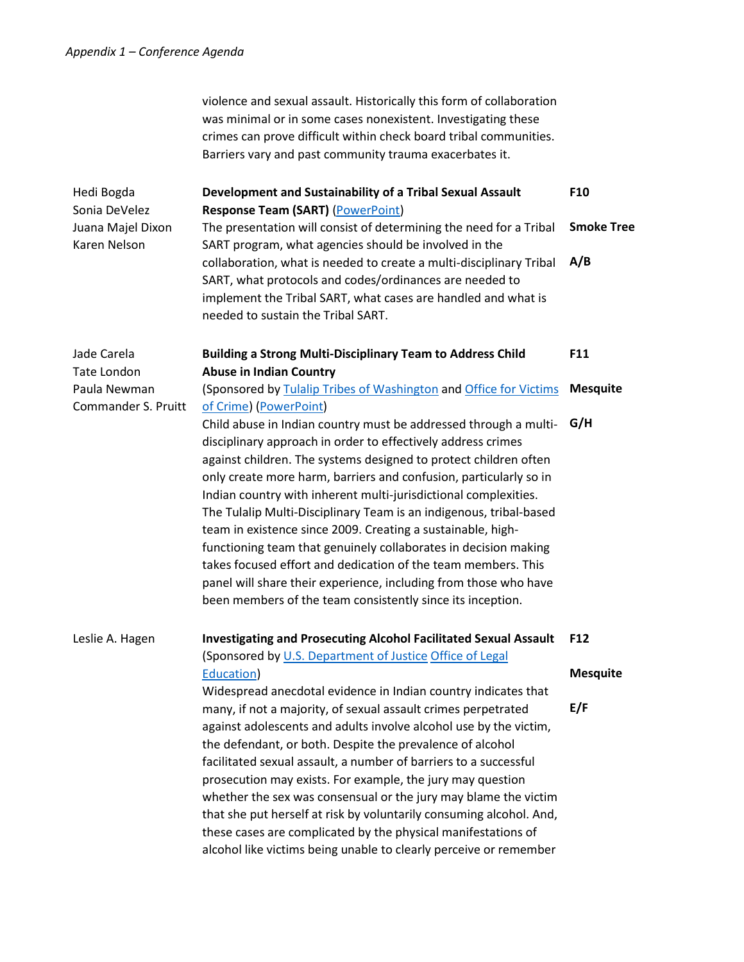|                                     | violence and sexual assault. Historically this form of collaboration<br>was minimal or in some cases nonexistent. Investigating these<br>crimes can prove difficult within check board tribal communities.<br>Barriers vary and past community trauma exacerbates it.                                                                                                                                                                                                                                                                                                                                                                                                                                                                                   |                   |
|-------------------------------------|---------------------------------------------------------------------------------------------------------------------------------------------------------------------------------------------------------------------------------------------------------------------------------------------------------------------------------------------------------------------------------------------------------------------------------------------------------------------------------------------------------------------------------------------------------------------------------------------------------------------------------------------------------------------------------------------------------------------------------------------------------|-------------------|
| Hedi Bogda<br>Sonia DeVelez         | Development and Sustainability of a Tribal Sexual Assault<br><b>Response Team (SART) (PowerPoint)</b>                                                                                                                                                                                                                                                                                                                                                                                                                                                                                                                                                                                                                                                   | F10               |
| Juana Majel Dixon<br>Karen Nelson   | The presentation will consist of determining the need for a Tribal<br>SART program, what agencies should be involved in the                                                                                                                                                                                                                                                                                                                                                                                                                                                                                                                                                                                                                             | <b>Smoke Tree</b> |
|                                     | collaboration, what is needed to create a multi-disciplinary Tribal<br>SART, what protocols and codes/ordinances are needed to<br>implement the Tribal SART, what cases are handled and what is<br>needed to sustain the Tribal SART.                                                                                                                                                                                                                                                                                                                                                                                                                                                                                                                   | A/B               |
| Jade Carela                         | <b>Building a Strong Multi-Disciplinary Team to Address Child</b>                                                                                                                                                                                                                                                                                                                                                                                                                                                                                                                                                                                                                                                                                       | F11               |
| <b>Tate London</b>                  | <b>Abuse in Indian Country</b>                                                                                                                                                                                                                                                                                                                                                                                                                                                                                                                                                                                                                                                                                                                          |                   |
| Paula Newman<br>Commander S. Pruitt | (Sponsored by Tulalip Tribes of Washington and Office for Victims<br>of Crime) (PowerPoint)                                                                                                                                                                                                                                                                                                                                                                                                                                                                                                                                                                                                                                                             | <b>Mesquite</b>   |
|                                     | Child abuse in Indian country must be addressed through a multi-<br>disciplinary approach in order to effectively address crimes<br>against children. The systems designed to protect children often<br>only create more harm, barriers and confusion, particularly so in<br>Indian country with inherent multi-jurisdictional complexities.<br>The Tulalip Multi-Disciplinary Team is an indigenous, tribal-based<br>team in existence since 2009. Creating a sustainable, high-<br>functioning team that genuinely collaborates in decision making<br>takes focused effort and dedication of the team members. This<br>panel will share their experience, including from those who have<br>been members of the team consistently since its inception. | G/H               |
| Leslie A. Hagen                     | Investigating and Prosecuting Alcohol Facilitated Sexual Assault F12<br>(Sponsored by U.S. Department of Justice Office of Legal                                                                                                                                                                                                                                                                                                                                                                                                                                                                                                                                                                                                                        |                   |
|                                     | Education)<br>Widespread anecdotal evidence in Indian country indicates that                                                                                                                                                                                                                                                                                                                                                                                                                                                                                                                                                                                                                                                                            | <b>Mesquite</b>   |
|                                     | many, if not a majority, of sexual assault crimes perpetrated<br>against adolescents and adults involve alcohol use by the victim,<br>the defendant, or both. Despite the prevalence of alcohol<br>facilitated sexual assault, a number of barriers to a successful<br>prosecution may exists. For example, the jury may question<br>whether the sex was consensual or the jury may blame the victim<br>that she put herself at risk by voluntarily consuming alcohol. And,<br>these cases are complicated by the physical manifestations of<br>alcohol like victims being unable to clearly perceive or remember                                                                                                                                       | E/F               |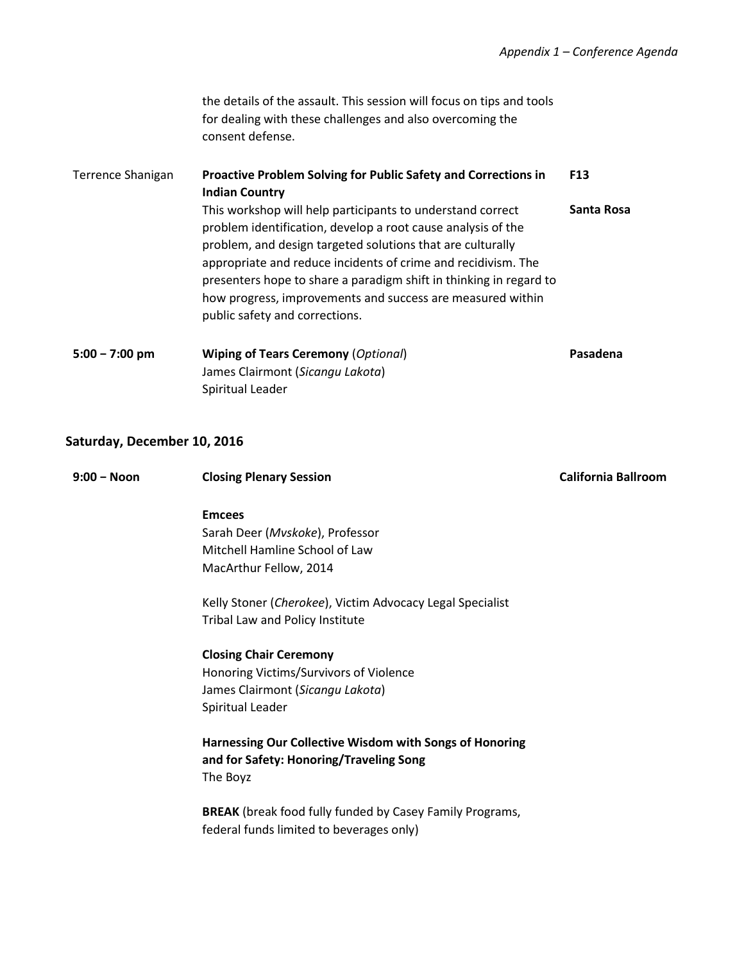the details of the assault. This session will focus on tips and tools for dealing with these challenges and also overcoming the consent defense.

| Terrence Shanigan | Proactive Problem Solving for Public Safety and Corrections in<br><b>Indian Country</b>                                                                                                                                                                                                                                                                                                                                         | F <sub>13</sub> |
|-------------------|---------------------------------------------------------------------------------------------------------------------------------------------------------------------------------------------------------------------------------------------------------------------------------------------------------------------------------------------------------------------------------------------------------------------------------|-----------------|
|                   | This workshop will help participants to understand correct<br>problem identification, develop a root cause analysis of the<br>problem, and design targeted solutions that are culturally<br>appropriate and reduce incidents of crime and recidivism. The<br>presenters hope to share a paradigm shift in thinking in regard to<br>how progress, improvements and success are measured within<br>public safety and corrections. | Santa Rosa      |
| $5:00 - 7:00$ pm  | <b>Wiping of Tears Ceremony (Optional)</b><br>James Clairmont (Sicangu Lakota)<br>Spiritual Leader                                                                                                                                                                                                                                                                                                                              | Pasadena        |

## **Saturday, December 10, 2016**

| $9:00 - N$ oon | <b>Closing Plenary Session</b>                                  | <b>California Ballroom</b> |
|----------------|-----------------------------------------------------------------|----------------------------|
|                |                                                                 |                            |
|                | <b>Emcees</b>                                                   |                            |
|                | Sarah Deer (Mvskoke), Professor                                 |                            |
|                | Mitchell Hamline School of Law                                  |                            |
|                | MacArthur Fellow, 2014                                          |                            |
|                | Kelly Stoner (Cherokee), Victim Advocacy Legal Specialist       |                            |
|                | Tribal Law and Policy Institute                                 |                            |
|                | <b>Closing Chair Ceremony</b>                                   |                            |
|                | Honoring Victims/Survivors of Violence                          |                            |
|                | James Clairmont (Sicangu Lakota)                                |                            |
|                | Spiritual Leader                                                |                            |
|                | Harnessing Our Collective Wisdom with Songs of Honoring         |                            |
|                | and for Safety: Honoring/Traveling Song                         |                            |
|                | The Boyz                                                        |                            |
|                | <b>BREAK</b> (break food fully funded by Casey Family Programs, |                            |
|                | federal funds limited to beverages only)                        |                            |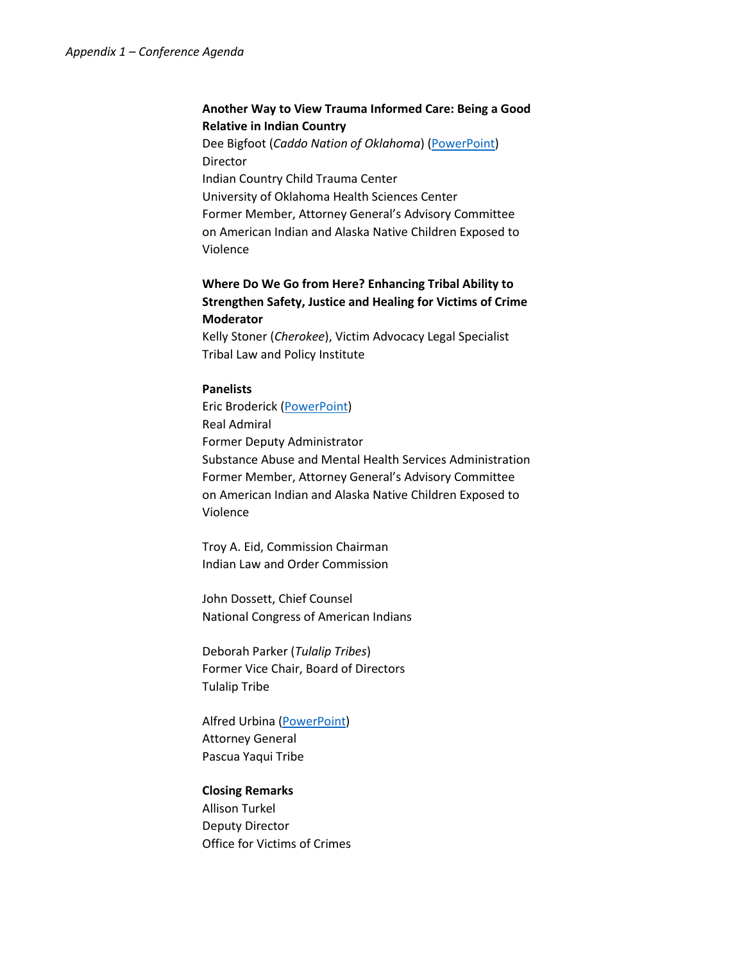### **Another Way to View Trauma Informed Care: Being a Good Relative in Indian Country**

Dee Bigfoot (*Caddo Nation of Oklahoma*) [\(PowerPoint\)](http://www.tribal-institute.org/2016/CPBigFoot.pdf) Director Indian Country Child Trauma Center University of Oklahoma Health Sciences Center Former Member, Attorney General's Advisory Committee on American Indian and Alaska Native Children Exposed to Violence

### **Where Do We Go from Here? Enhancing Tribal Ability to Strengthen Safety, Justice and Healing for Victims of Crime Moderator**

Kelly Stoner (*Cherokee*), Victim Advocacy Legal Specialist Tribal Law and Policy Institute

#### **Panelists**

Eric Broderick [\(PowerPoint\)](http://www.tribal-institute.org/2016/CPBroderick.pdf) Real Admiral Former Deputy Administrator Substance Abuse and Mental Health Services Administration Former Member, Attorney General's Advisory Committee on American Indian and Alaska Native Children Exposed to Violence

Troy A. Eid, Commission Chairman Indian Law and Order Commission

John Dossett, Chief Counsel National Congress of American Indians

Deborah Parker (*Tulalip Tribes*) Former Vice Chair, Board of Directors Tulalip Tribe

Alfred Urbina [\(PowerPoint\)](http://www.tribal-institute.org/2016/CPUrbina.pdf) Attorney General Pascua Yaqui Tribe

#### **Closing Remarks**

Allison Turkel Deputy Director Office for Victims of Crimes